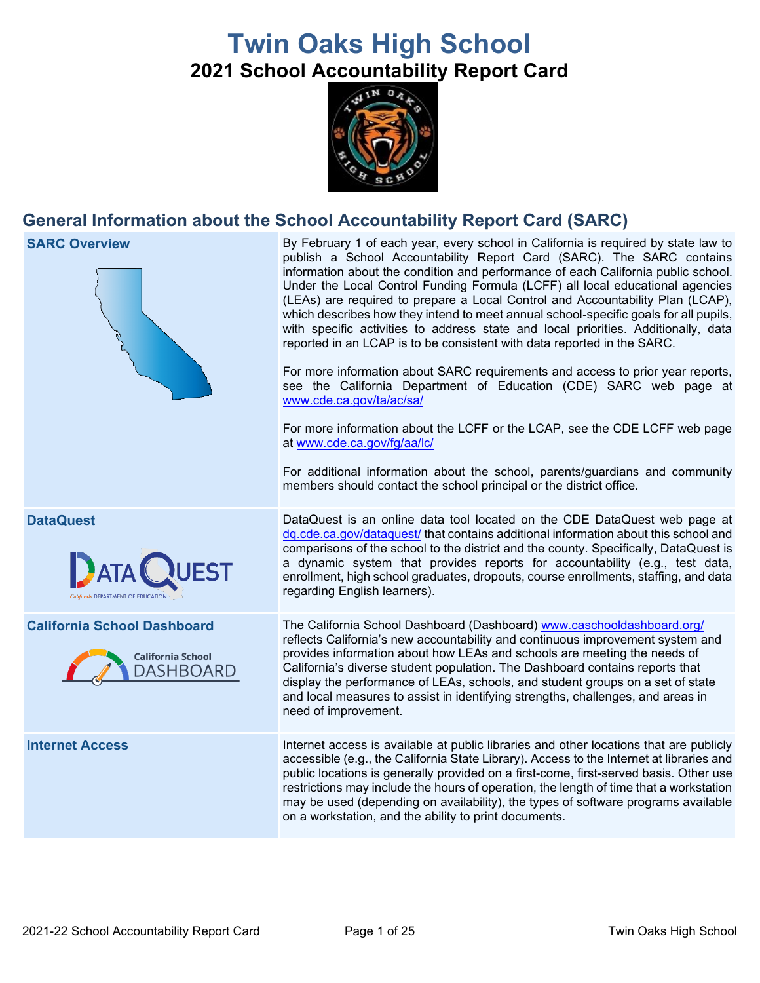# **Twin Oaks High School 2021 School Accountability Report Card**



## **General Information about the School Accountability Report Card (SARC)**



on a workstation, and the ability to print documents.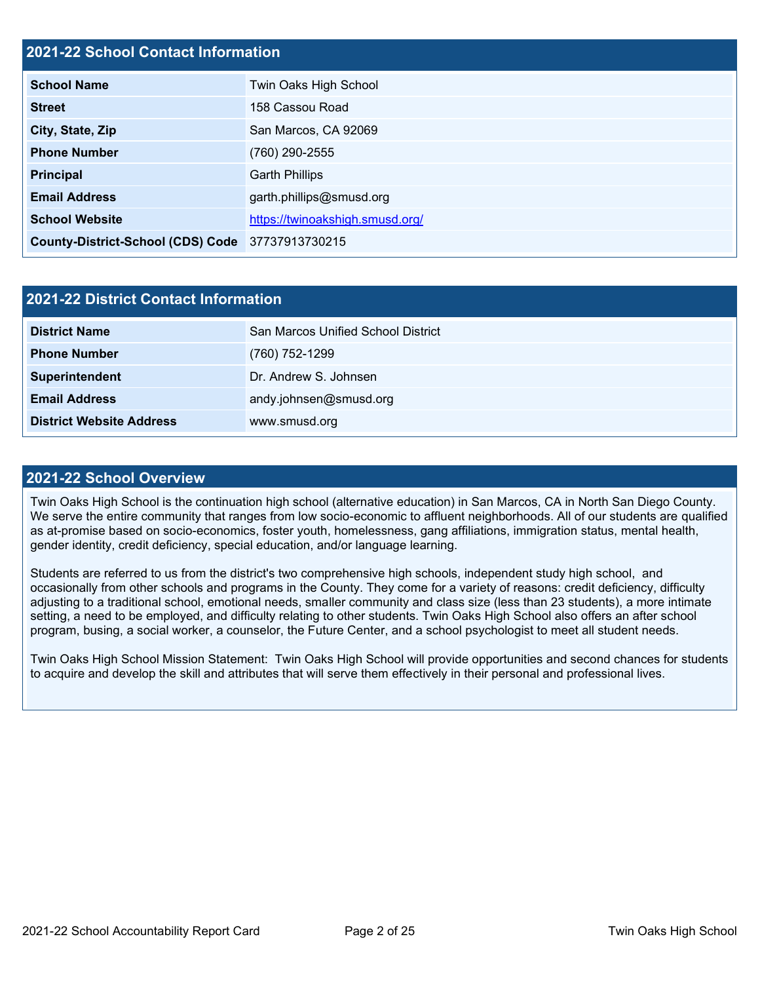### **2021-22 School Contact Information**

| <b>School Name</b>                               | Twin Oaks High School           |
|--------------------------------------------------|---------------------------------|
| <b>Street</b>                                    | 158 Cassou Road                 |
| City, State, Zip                                 | San Marcos, CA 92069            |
| <b>Phone Number</b>                              | (760) 290-2555                  |
| <b>Principal</b>                                 | <b>Garth Phillips</b>           |
| <b>Email Address</b>                             | garth.phillips@smusd.org        |
| <b>School Website</b>                            | https://twinoakshigh.smusd.org/ |
| County-District-School (CDS) Code 37737913730215 |                                 |

| 2021-22 District Contact Information |                                    |  |  |
|--------------------------------------|------------------------------------|--|--|
| <b>District Name</b>                 | San Marcos Unified School District |  |  |
| <b>Phone Number</b>                  | (760) 752-1299                     |  |  |
| Superintendent                       | Dr. Andrew S. Johnsen              |  |  |
| <b>Email Address</b>                 | andy.johnsen@smusd.org             |  |  |
| <b>District Website Address</b>      | www.smusd.org                      |  |  |

### **2021-22 School Overview**

Twin Oaks High School is the continuation high school (alternative education) in San Marcos, CA in North San Diego County. We serve the entire community that ranges from low socio-economic to affluent neighborhoods. All of our students are qualified as at-promise based on socio-economics, foster youth, homelessness, gang affiliations, immigration status, mental health, gender identity, credit deficiency, special education, and/or language learning.

Students are referred to us from the district's two comprehensive high schools, independent study high school, and occasionally from other schools and programs in the County. They come for a variety of reasons: credit deficiency, difficulty adjusting to a traditional school, emotional needs, smaller community and class size (less than 23 students), a more intimate setting, a need to be employed, and difficulty relating to other students. Twin Oaks High School also offers an after school program, busing, a social worker, a counselor, the Future Center, and a school psychologist to meet all student needs.

Twin Oaks High School Mission Statement: Twin Oaks High School will provide opportunities and second chances for students to acquire and develop the skill and attributes that will serve them effectively in their personal and professional lives.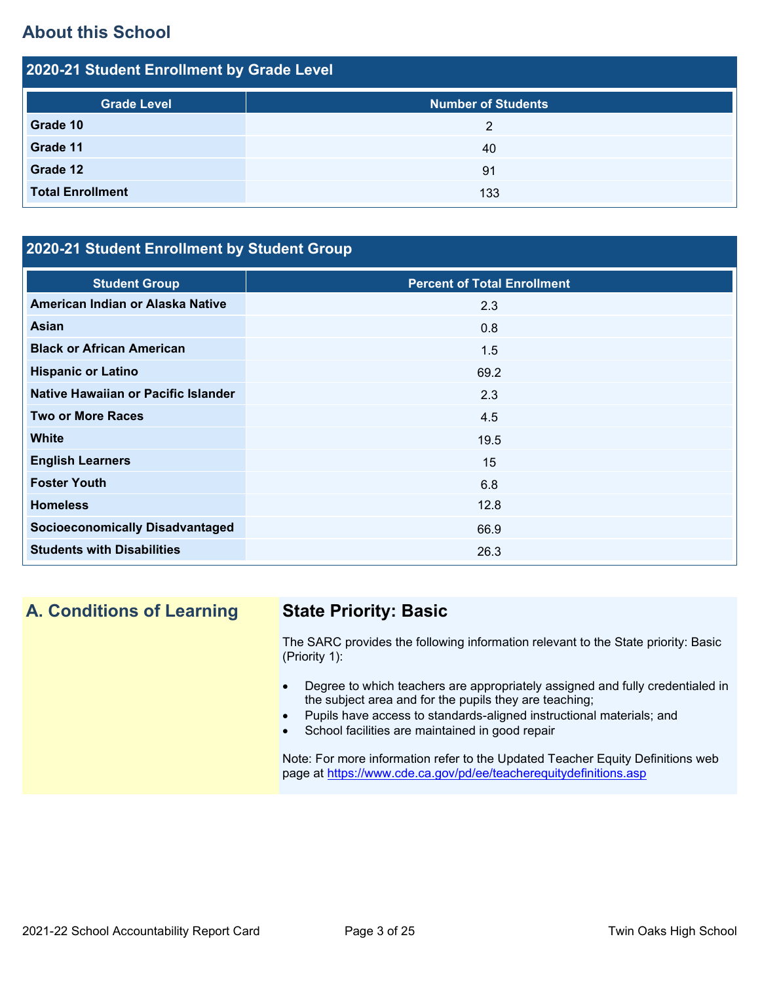## **About this School**

| 2020-21 Student Enrollment by Grade Level |                           |  |  |  |
|-------------------------------------------|---------------------------|--|--|--|
| <b>Grade Level</b>                        | <b>Number of Students</b> |  |  |  |
| Grade 10                                  | 2                         |  |  |  |
| Grade 11                                  | 40                        |  |  |  |
| Grade 12                                  | 91                        |  |  |  |
| <b>Total Enrollment</b>                   | 133                       |  |  |  |

## **2020-21 Student Enrollment by Student Group**

| <b>Student Group</b>                   | <b>Percent of Total Enrollment</b> |
|----------------------------------------|------------------------------------|
| American Indian or Alaska Native       | 2.3                                |
| Asian                                  | 0.8                                |
| <b>Black or African American</b>       | 1.5                                |
| <b>Hispanic or Latino</b>              | 69.2                               |
| Native Hawaiian or Pacific Islander    | 2.3                                |
| <b>Two or More Races</b>               | 4.5                                |
| <b>White</b>                           | 19.5                               |
| <b>English Learners</b>                | 15                                 |
| <b>Foster Youth</b>                    | 6.8                                |
| <b>Homeless</b>                        | 12.8                               |
| <b>Socioeconomically Disadvantaged</b> | 66.9                               |
| <b>Students with Disabilities</b>      | 26.3                               |

## **A. Conditions of Learning State Priority: Basic**

The SARC provides the following information relevant to the State priority: Basic (Priority 1):

- Degree to which teachers are appropriately assigned and fully credentialed in the subject area and for the pupils they are teaching;
- Pupils have access to standards-aligned instructional materials; and
- School facilities are maintained in good repair

Note: For more information refer to the Updated Teacher Equity Definitions web page at<https://www.cde.ca.gov/pd/ee/teacherequitydefinitions.asp>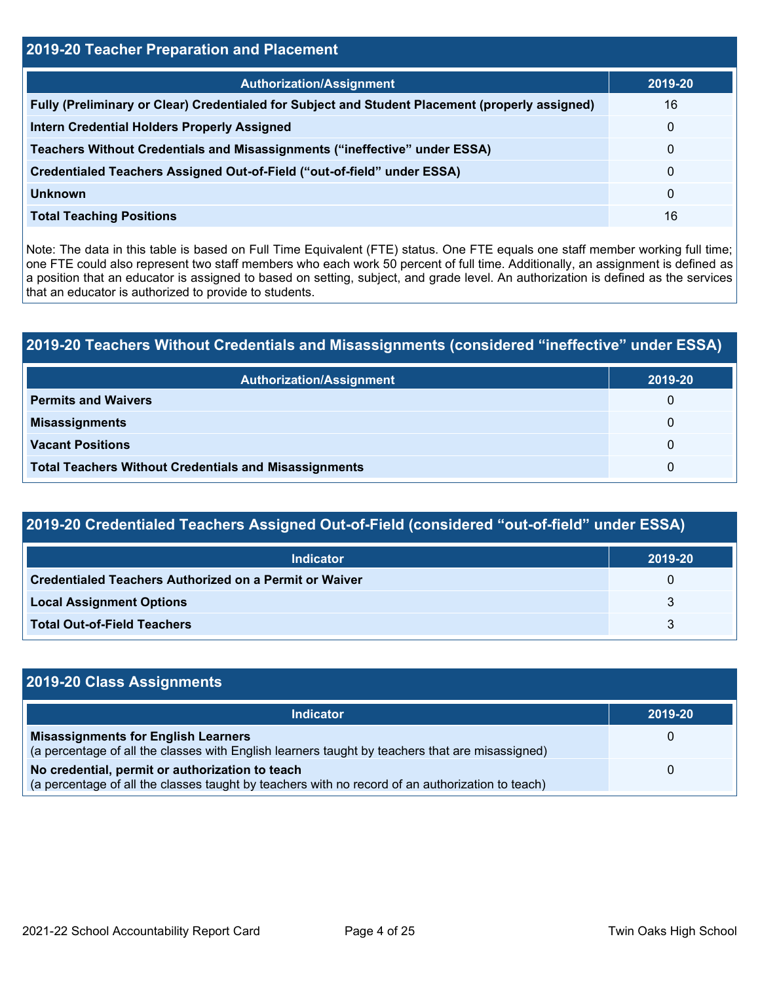| 2019-20 Teacher Preparation and Placement                                                       |             |  |  |  |
|-------------------------------------------------------------------------------------------------|-------------|--|--|--|
| <b>Authorization/Assignment</b>                                                                 | 2019-20     |  |  |  |
| Fully (Preliminary or Clear) Credentialed for Subject and Student Placement (properly assigned) | 16          |  |  |  |
| <b>Intern Credential Holders Properly Assigned</b>                                              | $\mathbf 0$ |  |  |  |
| Teachers Without Credentials and Misassignments ("ineffective" under ESSA)                      | 0           |  |  |  |
| Credentialed Teachers Assigned Out-of-Field ("out-of-field" under ESSA)                         | 0           |  |  |  |
| Unknown                                                                                         | 0           |  |  |  |
| <b>Total Teaching Positions</b>                                                                 | 16          |  |  |  |

Note: The data in this table is based on Full Time Equivalent (FTE) status. One FTE equals one staff member working full time; one FTE could also represent two staff members who each work 50 percent of full time. Additionally, an assignment is defined as a position that an educator is assigned to based on setting, subject, and grade level. An authorization is defined as the services that an educator is authorized to provide to students.

## **2019-20 Teachers Without Credentials and Misassignments (considered "ineffective" under ESSA)**

| <b>Authorization/Assignment</b>                              | 2019-20 |
|--------------------------------------------------------------|---------|
| <b>Permits and Waivers</b>                                   | 0       |
| <b>Misassignments</b>                                        | 0       |
| <b>Vacant Positions</b>                                      | 0       |
| <b>Total Teachers Without Credentials and Misassignments</b> | 0       |

## **2019-20 Credentialed Teachers Assigned Out-of-Field (considered "out-of-field" under ESSA)**

| <b>Indicator</b>                                              | 2019-20 |
|---------------------------------------------------------------|---------|
| <b>Credentialed Teachers Authorized on a Permit or Waiver</b> | 0       |
| <b>Local Assignment Options</b>                               |         |
| <b>Total Out-of-Field Teachers</b>                            |         |

| 2019-20 Class Assignments                                                                                                                           |          |
|-----------------------------------------------------------------------------------------------------------------------------------------------------|----------|
| <b>Indicator</b>                                                                                                                                    | 2019-20  |
| <b>Misassignments for English Learners</b><br>(a percentage of all the classes with English learners taught by teachers that are misassigned)       |          |
| No credential, permit or authorization to teach<br>(a percentage of all the classes taught by teachers with no record of an authorization to teach) | $\Omega$ |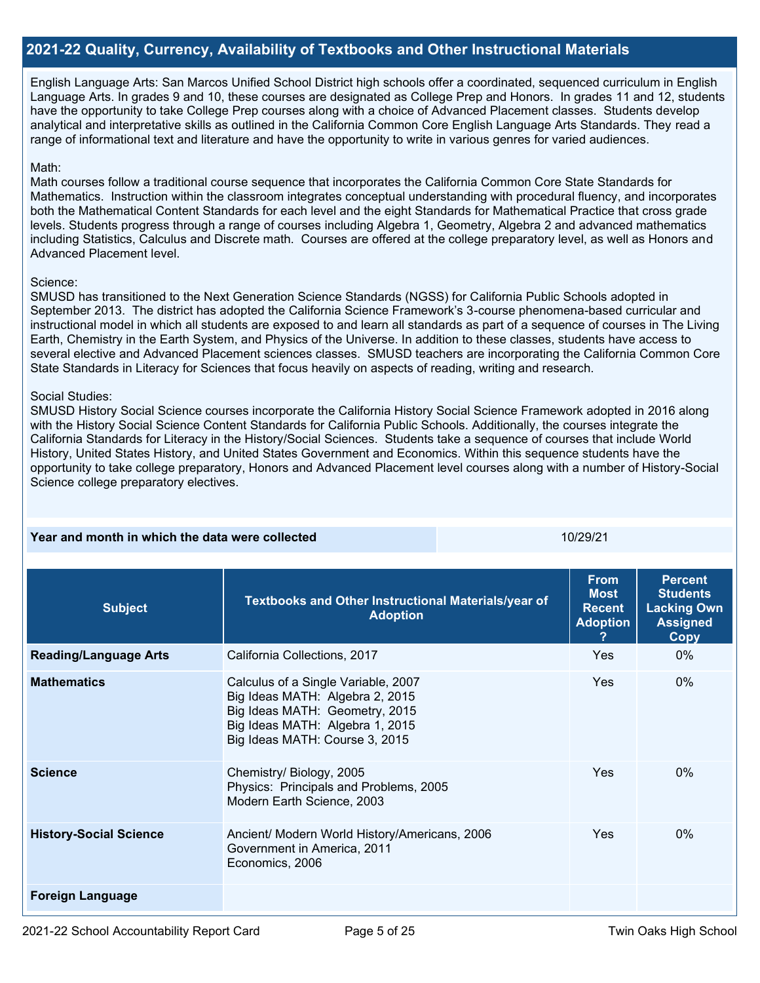### **2021-22 Quality, Currency, Availability of Textbooks and Other Instructional Materials**

English Language Arts: San Marcos Unified School District high schools offer a coordinated, sequenced curriculum in English Language Arts. In grades 9 and 10, these courses are designated as College Prep and Honors. In grades 11 and 12, students have the opportunity to take College Prep courses along with a choice of Advanced Placement classes. Students develop analytical and interpretative skills as outlined in the California Common Core English Language Arts Standards. They read a range of informational text and literature and have the opportunity to write in various genres for varied audiences.

### Math:

Math courses follow a traditional course sequence that incorporates the California Common Core State Standards for Mathematics. Instruction within the classroom integrates conceptual understanding with procedural fluency, and incorporates both the Mathematical Content Standards for each level and the eight Standards for Mathematical Practice that cross grade levels. Students progress through a range of courses including Algebra 1, Geometry, Algebra 2 and advanced mathematics including Statistics, Calculus and Discrete math. Courses are offered at the college preparatory level, as well as Honors and Advanced Placement level.

### Science:

SMUSD has transitioned to the Next Generation Science Standards (NGSS) for California Public Schools adopted in September 2013. The district has adopted the California Science Framework's 3-course phenomena-based curricular and instructional model in which all students are exposed to and learn all standards as part of a sequence of courses in The Living Earth, Chemistry in the Earth System, and Physics of the Universe. In addition to these classes, students have access to several elective and Advanced Placement sciences classes. SMUSD teachers are incorporating the California Common Core State Standards in Literacy for Sciences that focus heavily on aspects of reading, writing and research.

### Social Studies:

SMUSD History Social Science courses incorporate the California History Social Science Framework adopted in 2016 along with the History Social Science Content Standards for California Public Schools. Additionally, the courses integrate the California Standards for Literacy in the History/Social Sciences. Students take a sequence of courses that include World History, United States History, and United States Government and Economics. Within this sequence students have the opportunity to take college preparatory, Honors and Advanced Placement level courses along with a number of History-Social Science college preparatory electives.

**Year and month in which the data were collected 10/2001 10/29/21 10/29/21** 

| <b>Subject</b>                | Textbooks and Other Instructional Materials/year of<br><b>Adoption</b>                                                                                                        | <b>From</b><br><b>Most</b><br><b>Recent</b><br><b>Adoption</b> | <b>Percent</b><br><b>Students</b><br><b>Lacking Own</b><br><b>Assigned</b><br>Copy |  |
|-------------------------------|-------------------------------------------------------------------------------------------------------------------------------------------------------------------------------|----------------------------------------------------------------|------------------------------------------------------------------------------------|--|
| <b>Reading/Language Arts</b>  | California Collections, 2017                                                                                                                                                  | Yes                                                            | $0\%$                                                                              |  |
| <b>Mathematics</b>            | Calculus of a Single Variable, 2007<br>Big Ideas MATH: Algebra 2, 2015<br>Big Ideas MATH: Geometry, 2015<br>Big Ideas MATH: Algebra 1, 2015<br>Big Ideas MATH: Course 3, 2015 | Yes                                                            | $0\%$                                                                              |  |
| <b>Science</b>                | Chemistry/ Biology, 2005<br>Physics: Principals and Problems, 2005<br>Modern Earth Science, 2003                                                                              | Yes                                                            | 0%                                                                                 |  |
| <b>History-Social Science</b> | Ancient/ Modern World History/Americans, 2006<br>Government in America, 2011<br>Economics, 2006                                                                               | Yes                                                            | $0\%$                                                                              |  |
| <b>Foreign Language</b>       |                                                                                                                                                                               |                                                                |                                                                                    |  |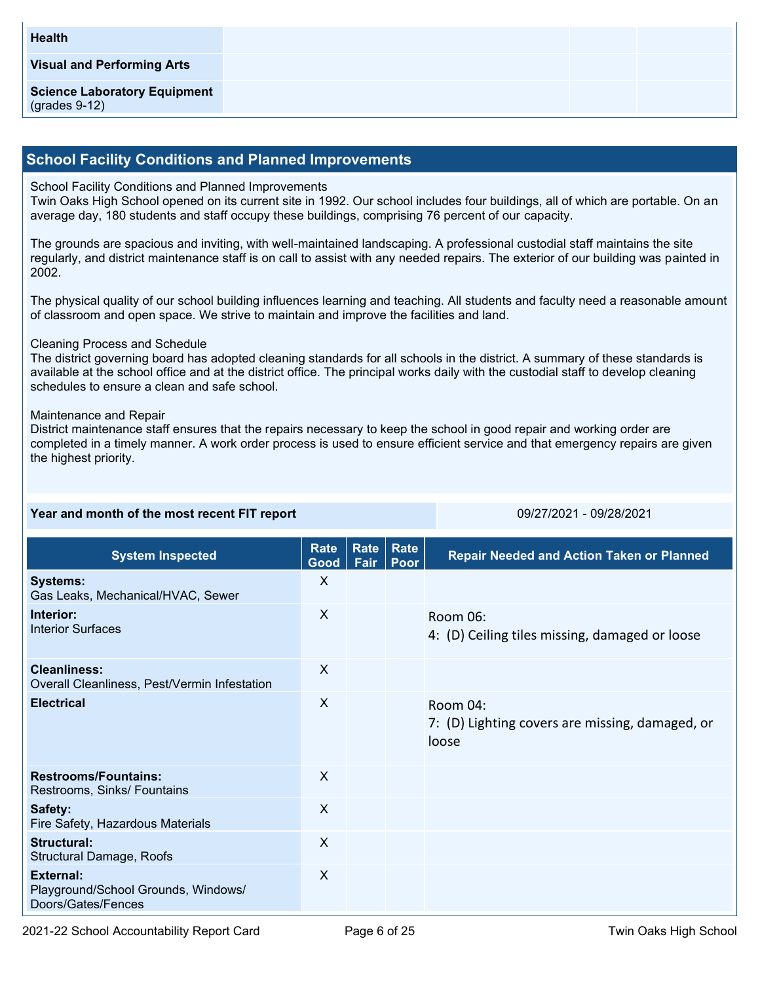### **School Facility Conditions and Planned Improvements**

### School Facility Conditions and Planned Improvements

Twin Oaks High School opened on its current site in 1992. Our school includes four buildings, all of which are portable. On an average day, 180 students and staff occupy these buildings, comprising 76 percent of our capacity.

The grounds are spacious and inviting, with well-maintained landscaping. A professional custodial staff maintains the site regularly, and district maintenance staff is on call to assist with any needed repairs. The exterior of our building was painted in 2002.

The physical quality of our school building influences learning and teaching. All students and faculty need a reasonable amount of classroom and open space. We strive to maintain and improve the facilities and land.

### Cleaning Process and Schedule

The district governing board has adopted cleaning standards for all schools in the district. A summary of these standards is available at the school office and at the district office. The principal works daily with the custodial staff to develop cleaning schedules to ensure a clean and safe school.

### Maintenance and Repair

District maintenance staff ensures that the repairs necessary to keep the school in good repair and working order are completed in a timely manner. A work order process is used to ensure efficient service and that emergency repairs are given the highest priority.

### **Year and month of the most recent FIT report** 09/27/2021 - 09/27/2021 - 09/28/2021

| <b>System Inspected</b>                                                       | Rate<br>Good | Rate<br>Fair | Rate<br>Poor | <b>Repair Needed and Action Taken or Planned</b>                     |
|-------------------------------------------------------------------------------|--------------|--------------|--------------|----------------------------------------------------------------------|
| <b>Systems:</b><br>Gas Leaks, Mechanical/HVAC, Sewer                          | X            |              |              |                                                                      |
| Interior:<br>Interior Surfaces                                                | X            |              |              | Room 06:<br>4: (D) Ceiling tiles missing, damaged or loose           |
| <b>Cleanliness:</b><br>Overall Cleanliness, Pest/Vermin Infestation           | X            |              |              |                                                                      |
| <b>Electrical</b>                                                             | $\sf X$      |              |              | Room 04:<br>7: (D) Lighting covers are missing, damaged, or<br>loose |
| <b>Restrooms/Fountains:</b><br>Restrooms, Sinks/ Fountains                    | $\mathsf{X}$ |              |              |                                                                      |
| Safety:<br>Fire Safety, Hazardous Materials                                   | X            |              |              |                                                                      |
| Structural:<br>Structural Damage, Roofs                                       | $\sf X$      |              |              |                                                                      |
| <b>External:</b><br>Playground/School Grounds, Windows/<br>Doors/Gates/Fences | X            |              |              |                                                                      |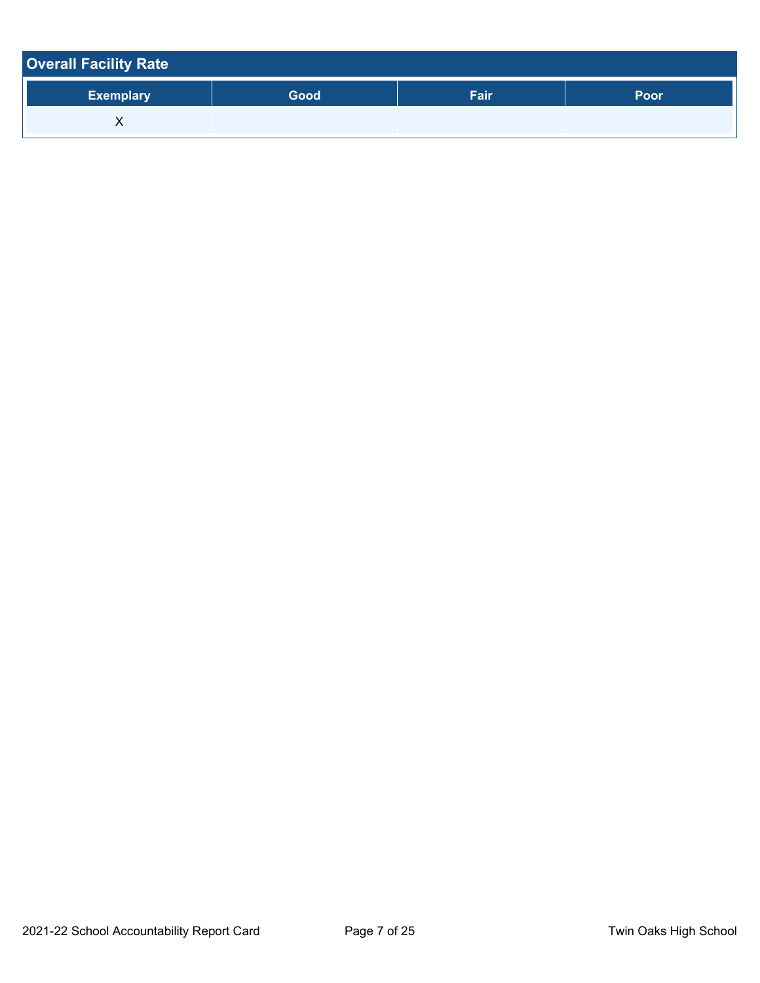| <b>Overall Facility Rate</b> |      |      |      |
|------------------------------|------|------|------|
| <b>Exemplary</b>             | Good | Fair | Poor |
| ⋏                            |      |      |      |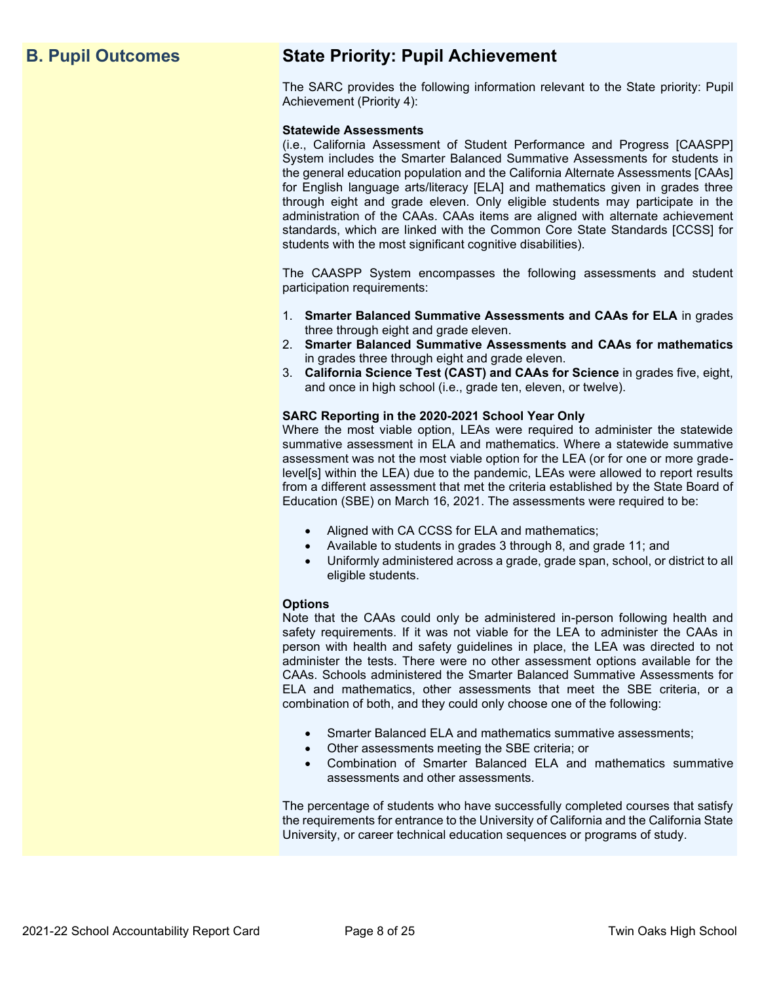## **B. Pupil Outcomes State Priority: Pupil Achievement**

The SARC provides the following information relevant to the State priority: Pupil Achievement (Priority 4):

### **Statewide Assessments**

(i.e., California Assessment of Student Performance and Progress [CAASPP] System includes the Smarter Balanced Summative Assessments for students in the general education population and the California Alternate Assessments [CAAs] for English language arts/literacy [ELA] and mathematics given in grades three through eight and grade eleven. Only eligible students may participate in the administration of the CAAs. CAAs items are aligned with alternate achievement standards, which are linked with the Common Core State Standards [CCSS] for students with the most significant cognitive disabilities).

The CAASPP System encompasses the following assessments and student participation requirements:

- 1. **Smarter Balanced Summative Assessments and CAAs for ELA** in grades three through eight and grade eleven.
- 2. **Smarter Balanced Summative Assessments and CAAs for mathematics** in grades three through eight and grade eleven.
- 3. **California Science Test (CAST) and CAAs for Science** in grades five, eight, and once in high school (i.e., grade ten, eleven, or twelve).

### **SARC Reporting in the 2020-2021 School Year Only**

Where the most viable option, LEAs were required to administer the statewide summative assessment in ELA and mathematics. Where a statewide summative assessment was not the most viable option for the LEA (or for one or more gradelevel[s] within the LEA) due to the pandemic, LEAs were allowed to report results from a different assessment that met the criteria established by the State Board of Education (SBE) on March 16, 2021. The assessments were required to be:

- Aligned with CA CCSS for ELA and mathematics;
- Available to students in grades 3 through 8, and grade 11; and
- Uniformly administered across a grade, grade span, school, or district to all eligible students.

### **Options**

Note that the CAAs could only be administered in-person following health and safety requirements. If it was not viable for the LEA to administer the CAAs in person with health and safety guidelines in place, the LEA was directed to not administer the tests. There were no other assessment options available for the CAAs. Schools administered the Smarter Balanced Summative Assessments for ELA and mathematics, other assessments that meet the SBE criteria, or a combination of both, and they could only choose one of the following:

- Smarter Balanced ELA and mathematics summative assessments;
- Other assessments meeting the SBE criteria; or
- Combination of Smarter Balanced ELA and mathematics summative assessments and other assessments.

The percentage of students who have successfully completed courses that satisfy the requirements for entrance to the University of California and the California State University, or career technical education sequences or programs of study.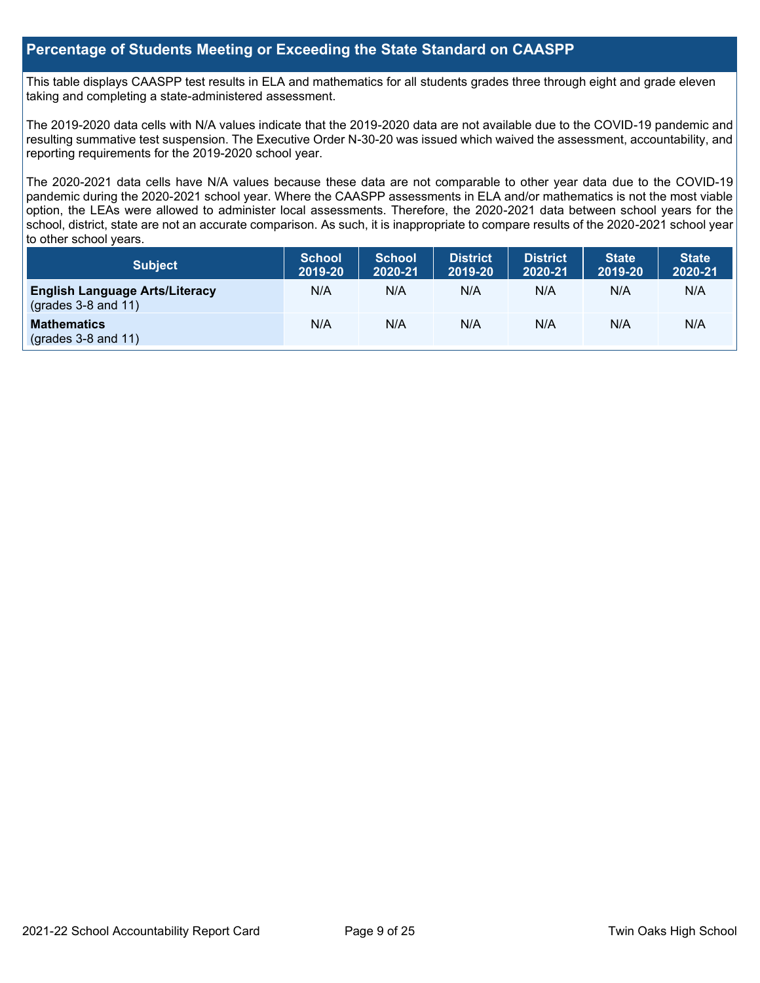### **Percentage of Students Meeting or Exceeding the State Standard on CAASPP**

This table displays CAASPP test results in ELA and mathematics for all students grades three through eight and grade eleven taking and completing a state-administered assessment.

The 2019-2020 data cells with N/A values indicate that the 2019-2020 data are not available due to the COVID-19 pandemic and resulting summative test suspension. The Executive Order N-30-20 was issued which waived the assessment, accountability, and reporting requirements for the 2019-2020 school year.

The 2020-2021 data cells have N/A values because these data are not comparable to other year data due to the COVID-19 pandemic during the 2020-2021 school year. Where the CAASPP assessments in ELA and/or mathematics is not the most viable option, the LEAs were allowed to administer local assessments. Therefore, the 2020-2021 data between school years for the school, district, state are not an accurate comparison. As such, it is inappropriate to compare results of the 2020-2021 school year to other school years.

| Subject                                                              | <b>School</b><br>2019-20 | <b>School</b><br>2020-21 | <b>District</b><br>2019-20 | <b>District</b><br>2020-21 | <b>State</b><br>2019-20 | <b>State</b><br>2020-21 |
|----------------------------------------------------------------------|--------------------------|--------------------------|----------------------------|----------------------------|-------------------------|-------------------------|
| <b>English Language Arts/Literacy</b><br>$\left($ grades 3-8 and 11) | N/A                      | N/A                      | N/A                        | N/A                        | N/A                     | N/A                     |
| <b>Mathematics</b><br>$(grades 3-8 and 11)$                          | N/A                      | N/A                      | N/A                        | N/A                        | N/A                     | N/A                     |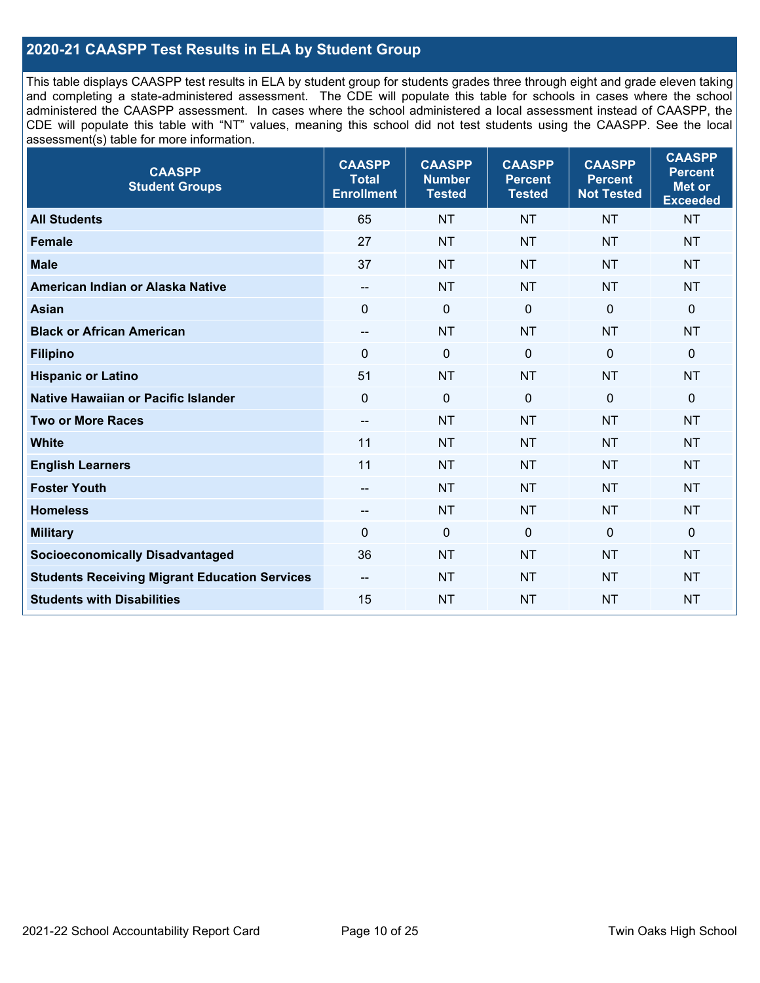### **2020-21 CAASPP Test Results in ELA by Student Group**

This table displays CAASPP test results in ELA by student group for students grades three through eight and grade eleven taking and completing a state-administered assessment. The CDE will populate this table for schools in cases where the school administered the CAASPP assessment. In cases where the school administered a local assessment instead of CAASPP, the CDE will populate this table with "NT" values, meaning this school did not test students using the CAASPP. See the local assessment(s) table for more information.

| <b>CAASPP</b><br><b>Student Groups</b>               | <b>CAASPP</b><br><b>Total</b><br><b>Enrollment</b> | <b>CAASPP</b><br><b>Number</b><br><b>Tested</b> | <b>CAASPP</b><br><b>Percent</b><br><b>Tested</b> | <b>CAASPP</b><br><b>Percent</b><br><b>Not Tested</b> | <b>CAASPP</b><br><b>Percent</b><br><b>Met or</b><br><b>Exceeded</b> |
|------------------------------------------------------|----------------------------------------------------|-------------------------------------------------|--------------------------------------------------|------------------------------------------------------|---------------------------------------------------------------------|
| <b>All Students</b>                                  | 65                                                 | <b>NT</b>                                       | <b>NT</b>                                        | <b>NT</b>                                            | <b>NT</b>                                                           |
| <b>Female</b>                                        | 27                                                 | <b>NT</b>                                       | <b>NT</b>                                        | <b>NT</b>                                            | <b>NT</b>                                                           |
| <b>Male</b>                                          | 37                                                 | <b>NT</b>                                       | <b>NT</b>                                        | <b>NT</b>                                            | <b>NT</b>                                                           |
| American Indian or Alaska Native                     | --                                                 | <b>NT</b>                                       | <b>NT</b>                                        | <b>NT</b>                                            | <b>NT</b>                                                           |
| <b>Asian</b>                                         | $\mathbf{0}$                                       | $\boldsymbol{0}$                                | $\mathbf 0$                                      | $\mathbf{0}$                                         | 0                                                                   |
| <b>Black or African American</b>                     | $\overline{\phantom{a}}$                           | <b>NT</b>                                       | <b>NT</b>                                        | <b>NT</b>                                            | <b>NT</b>                                                           |
| <b>Filipino</b>                                      | $\mathbf 0$                                        | $\mathbf 0$                                     | $\mathbf{0}$                                     | $\mathbf 0$                                          | 0                                                                   |
| <b>Hispanic or Latino</b>                            | 51                                                 | <b>NT</b>                                       | <b>NT</b>                                        | <b>NT</b>                                            | <b>NT</b>                                                           |
| <b>Native Hawaiian or Pacific Islander</b>           | $\mathbf 0$                                        | $\mathbf 0$                                     | $\mathbf{0}$                                     | $\mathbf 0$                                          | 0                                                                   |
| <b>Two or More Races</b>                             | $\overline{\phantom{a}}$                           | <b>NT</b>                                       | <b>NT</b>                                        | <b>NT</b>                                            | <b>NT</b>                                                           |
| <b>White</b>                                         | 11                                                 | <b>NT</b>                                       | <b>NT</b>                                        | <b>NT</b>                                            | <b>NT</b>                                                           |
| <b>English Learners</b>                              | 11                                                 | <b>NT</b>                                       | <b>NT</b>                                        | <b>NT</b>                                            | <b>NT</b>                                                           |
| <b>Foster Youth</b>                                  | $-$                                                | <b>NT</b>                                       | <b>NT</b>                                        | <b>NT</b>                                            | <b>NT</b>                                                           |
| <b>Homeless</b>                                      | $\overline{\phantom{a}}$                           | <b>NT</b>                                       | <b>NT</b>                                        | <b>NT</b>                                            | <b>NT</b>                                                           |
| <b>Military</b>                                      | 0                                                  | $\pmb{0}$                                       | $\mathbf 0$                                      | $\mathbf 0$                                          | 0                                                                   |
| <b>Socioeconomically Disadvantaged</b>               | 36                                                 | <b>NT</b>                                       | <b>NT</b>                                        | <b>NT</b>                                            | <b>NT</b>                                                           |
| <b>Students Receiving Migrant Education Services</b> | $\overline{\phantom{a}}$                           | <b>NT</b>                                       | <b>NT</b>                                        | <b>NT</b>                                            | NT                                                                  |
| <b>Students with Disabilities</b>                    | 15                                                 | <b>NT</b>                                       | <b>NT</b>                                        | <b>NT</b>                                            | <b>NT</b>                                                           |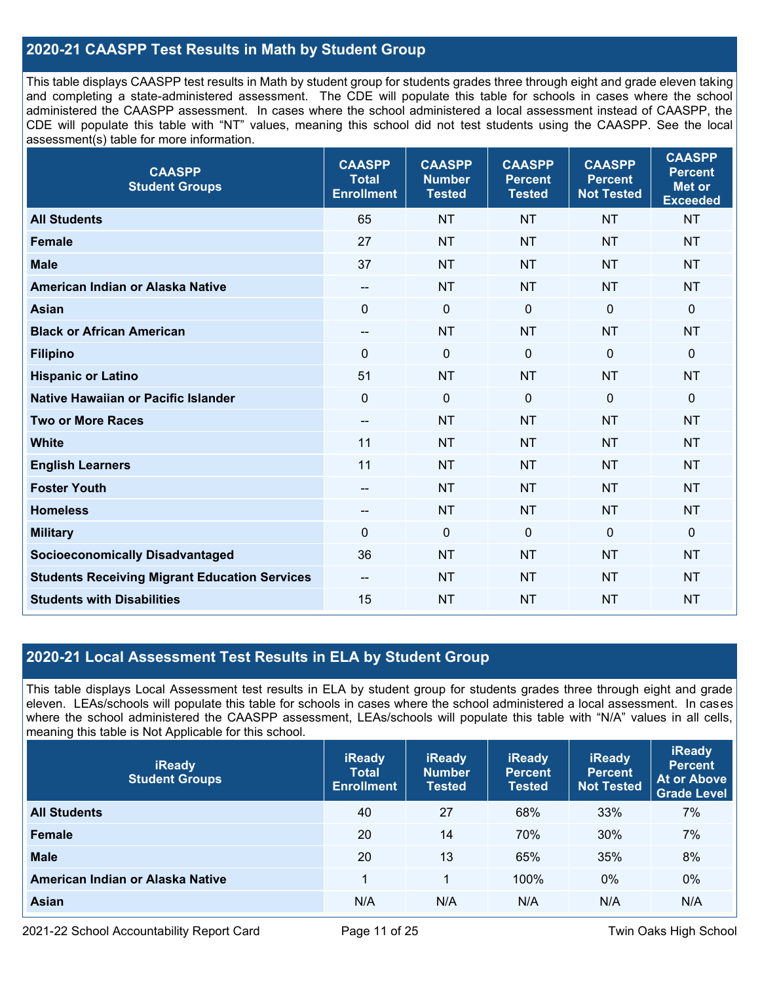### **2020-21 CAASPP Test Results in Math by Student Group**

This table displays CAASPP test results in Math by student group for students grades three through eight and grade eleven taking and completing a state-administered assessment. The CDE will populate this table for schools in cases where the school administered the CAASPP assessment. In cases where the school administered a local assessment instead of CAASPP, the CDE will populate this table with "NT" values, meaning this school did not test students using the CAASPP. See the local assessment(s) table for more information.

| <b>CAASPP</b><br><b>Student Groups</b>               | <b>CAASPP</b><br><b>Total</b><br><b>Enrollment</b> | <b>CAASPP</b><br><b>Number</b><br><b>Tested</b> | <b>CAASPP</b><br><b>Percent</b><br><b>Tested</b> | <b>CAASPP</b><br><b>Percent</b><br><b>Not Tested</b> | <b>CAASPP</b><br><b>Percent</b><br><b>Met or</b><br><b>Exceeded</b> |
|------------------------------------------------------|----------------------------------------------------|-------------------------------------------------|--------------------------------------------------|------------------------------------------------------|---------------------------------------------------------------------|
| <b>All Students</b>                                  | 65                                                 | <b>NT</b>                                       | <b>NT</b>                                        | <b>NT</b>                                            | <b>NT</b>                                                           |
| <b>Female</b>                                        | 27                                                 | <b>NT</b>                                       | <b>NT</b>                                        | <b>NT</b>                                            | <b>NT</b>                                                           |
| <b>Male</b>                                          | 37                                                 | <b>NT</b>                                       | <b>NT</b>                                        | <b>NT</b>                                            | <b>NT</b>                                                           |
| American Indian or Alaska Native                     | --                                                 | <b>NT</b>                                       | <b>NT</b>                                        | <b>NT</b>                                            | <b>NT</b>                                                           |
| <b>Asian</b>                                         | $\mathbf{0}$                                       | $\pmb{0}$                                       | $\mathbf{0}$                                     | $\mathbf 0$                                          | $\mathbf 0$                                                         |
| <b>Black or African American</b>                     | $\overline{\phantom{a}}$                           | <b>NT</b>                                       | <b>NT</b>                                        | <b>NT</b>                                            | <b>NT</b>                                                           |
| <b>Filipino</b>                                      | $\mathbf 0$                                        | $\mathbf 0$                                     | $\mathbf 0$                                      | $\mathbf 0$                                          | $\mathbf 0$                                                         |
| <b>Hispanic or Latino</b>                            | 51                                                 | <b>NT</b>                                       | <b>NT</b>                                        | <b>NT</b>                                            | <b>NT</b>                                                           |
| <b>Native Hawaiian or Pacific Islander</b>           | $\mathbf 0$                                        | $\mathbf 0$                                     | $\mathbf 0$                                      | $\mathbf 0$                                          | $\mathbf 0$                                                         |
| <b>Two or More Races</b>                             | $\overline{\phantom{a}}$                           | <b>NT</b>                                       | <b>NT</b>                                        | <b>NT</b>                                            | <b>NT</b>                                                           |
| <b>White</b>                                         | 11                                                 | <b>NT</b>                                       | <b>NT</b>                                        | <b>NT</b>                                            | <b>NT</b>                                                           |
| <b>English Learners</b>                              | 11                                                 | <b>NT</b>                                       | <b>NT</b>                                        | <b>NT</b>                                            | <b>NT</b>                                                           |
| <b>Foster Youth</b>                                  | $-$                                                | <b>NT</b>                                       | <b>NT</b>                                        | <b>NT</b>                                            | <b>NT</b>                                                           |
| <b>Homeless</b>                                      | $\overline{\phantom{a}}$                           | <b>NT</b>                                       | <b>NT</b>                                        | <b>NT</b>                                            | <b>NT</b>                                                           |
| <b>Military</b>                                      | 0                                                  | $\mathbf 0$                                     | $\mathbf 0$                                      | $\mathbf 0$                                          | $\mathbf 0$                                                         |
| <b>Socioeconomically Disadvantaged</b>               | 36                                                 | <b>NT</b>                                       | <b>NT</b>                                        | <b>NT</b>                                            | <b>NT</b>                                                           |
| <b>Students Receiving Migrant Education Services</b> | $\overline{\phantom{a}}$                           | <b>NT</b>                                       | <b>NT</b>                                        | <b>NT</b>                                            | <b>NT</b>                                                           |
| <b>Students with Disabilities</b>                    | 15                                                 | <b>NT</b>                                       | <b>NT</b>                                        | <b>NT</b>                                            | <b>NT</b>                                                           |

### **2020-21 Local Assessment Test Results in ELA by Student Group**

This table displays Local Assessment test results in ELA by student group for students grades three through eight and grade eleven. LEAs/schools will populate this table for schools in cases where the school administered a local assessment. In cases where the school administered the CAASPP assessment, LEAs/schools will populate this table with "N/A" values in all cells, meaning this table is Not Applicable for this school.

| <b>iReady</b><br><b>Student Groups</b> | <b>iReady</b><br><b>Total</b><br><b>Enrollment</b> | <b>iReady</b><br><b>Number</b><br><b>Tested</b> | <b>iReady</b><br><b>Percent</b><br><b>Tested</b> | <b>iReady</b><br><b>Percent</b><br><b>Not Tested</b> | <b>iReady</b><br><b>Percent</b><br><b>At or Above</b><br><b>Grade Level</b> |
|----------------------------------------|----------------------------------------------------|-------------------------------------------------|--------------------------------------------------|------------------------------------------------------|-----------------------------------------------------------------------------|
| <b>All Students</b>                    | 40                                                 | 27                                              | 68%                                              | 33%                                                  | 7%                                                                          |
| <b>Female</b>                          | 20                                                 | 14                                              | 70%                                              | 30%                                                  | 7%                                                                          |
| <b>Male</b>                            | 20                                                 | 13                                              | 65%                                              | 35%                                                  | 8%                                                                          |
| American Indian or Alaska Native       |                                                    | 1                                               | 100%                                             | $0\%$                                                | $0\%$                                                                       |
| <b>Asian</b>                           | N/A                                                | N/A                                             | N/A                                              | N/A                                                  | N/A                                                                         |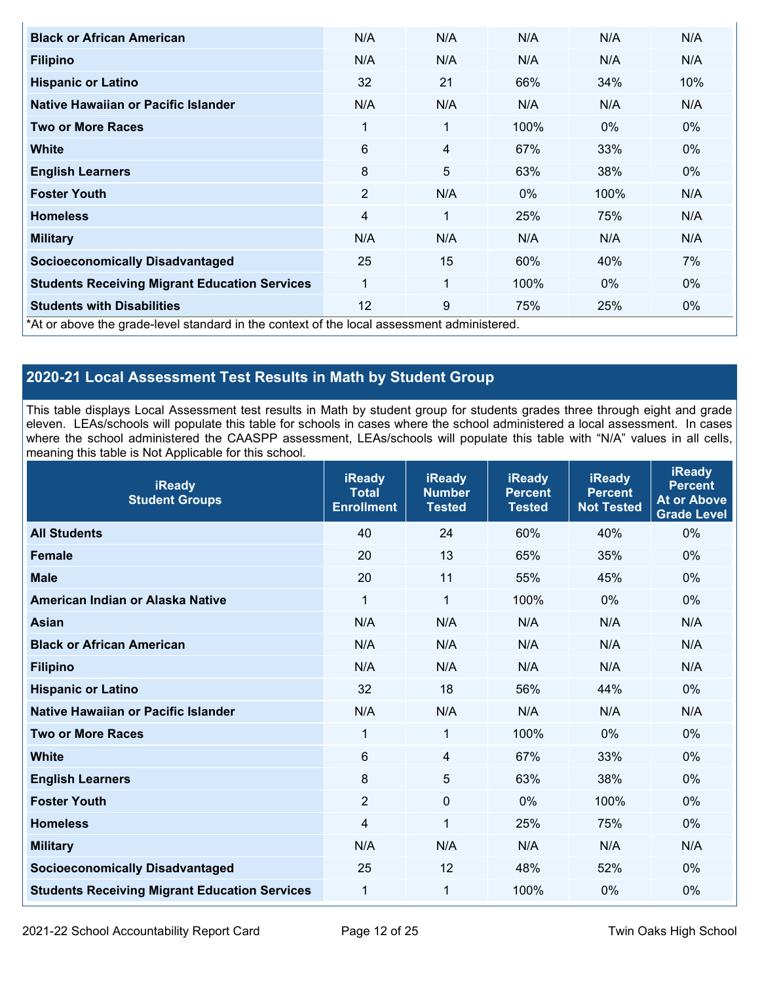| <b>Black or African American</b>                                                         | N/A            | N/A | N/A   | N/A   | N/A   |
|------------------------------------------------------------------------------------------|----------------|-----|-------|-------|-------|
| <b>Filipino</b>                                                                          | N/A            | N/A | N/A   | N/A   | N/A   |
| <b>Hispanic or Latino</b>                                                                | 32             | 21  | 66%   | 34%   | 10%   |
| Native Hawaiian or Pacific Islander                                                      | N/A            | N/A | N/A   | N/A   | N/A   |
| Two or More Races                                                                        | 1              | 1   | 100%  | $0\%$ | $0\%$ |
| <b>White</b>                                                                             | 6              | 4   | 67%   | 33%   | $0\%$ |
| <b>English Learners</b>                                                                  | 8              | 5   | 63%   | 38%   | $0\%$ |
| <b>Foster Youth</b>                                                                      | $\overline{2}$ | N/A | $0\%$ | 100%  | N/A   |
| <b>Homeless</b>                                                                          | 4              | 1   | 25%   | 75%   | N/A   |
| <b>Military</b>                                                                          | N/A            | N/A | N/A   | N/A   | N/A   |
| <b>Socioeconomically Disadvantaged</b>                                                   | 25             | 15  | 60%   | 40%   | 7%    |
| <b>Students Receiving Migrant Education Services</b>                                     | 1              | 1   | 100%  | $0\%$ | $0\%$ |
| <b>Students with Disabilities</b>                                                        | 12             | 9   | 75%   | 25%   | $0\%$ |
| At or above the arade-level standard in the context of the local assessment administered |                |     |       |       |       |

\*At or above the grade-level standard in the context of the local assessment administered.

## **2020-21 Local Assessment Test Results in Math by Student Group**

This table displays Local Assessment test results in Math by student group for students grades three through eight and grade eleven. LEAs/schools will populate this table for schools in cases where the school administered a local assessment. In cases where the school administered the CAASPP assessment, LEAs/schools will populate this table with "N/A" values in all cells, meaning this table is Not Applicable for this school.

| <b>iReady</b><br><b>Student Groups</b>               | <b>iReady</b><br><b>Total</b><br><b>Enrollment</b> | <b>iReady</b><br><b>Number</b><br><b>Tested</b> | <b>iReady</b><br><b>Percent</b><br><b>Tested</b> | <b>iReady</b><br><b>Percent</b><br><b>Not Tested</b> | <b>iReady</b><br><b>Percent</b><br><b>At or Above</b><br><b>Grade Level</b> |
|------------------------------------------------------|----------------------------------------------------|-------------------------------------------------|--------------------------------------------------|------------------------------------------------------|-----------------------------------------------------------------------------|
| <b>All Students</b>                                  | 40                                                 | 24                                              | 60%                                              | 40%                                                  | 0%                                                                          |
| <b>Female</b>                                        | 20                                                 | 13                                              | 65%                                              | 35%                                                  | 0%                                                                          |
| <b>Male</b>                                          | 20                                                 | 11                                              | 55%                                              | 45%                                                  | 0%                                                                          |
| American Indian or Alaska Native                     | $\mathbf{1}$                                       | $\mathbf{1}$                                    | 100%                                             | 0%                                                   | 0%                                                                          |
| <b>Asian</b>                                         | N/A                                                | N/A                                             | N/A                                              | N/A                                                  | N/A                                                                         |
| <b>Black or African American</b>                     | N/A                                                | N/A                                             | N/A                                              | N/A                                                  | N/A                                                                         |
| <b>Filipino</b>                                      | N/A                                                | N/A                                             | N/A                                              | N/A                                                  | N/A                                                                         |
| <b>Hispanic or Latino</b>                            | 32                                                 | 18                                              | 56%                                              | 44%                                                  | 0%                                                                          |
| Native Hawaiian or Pacific Islander                  | N/A                                                | N/A                                             | N/A                                              | N/A                                                  | N/A                                                                         |
| <b>Two or More Races</b>                             | $\mathbf 1$                                        | $\mathbf{1}$                                    | 100%                                             | 0%                                                   | 0%                                                                          |
| <b>White</b>                                         | 6                                                  | $\overline{4}$                                  | 67%                                              | 33%                                                  | 0%                                                                          |
| <b>English Learners</b>                              | 8                                                  | 5                                               | 63%                                              | 38%                                                  | 0%                                                                          |
| <b>Foster Youth</b>                                  | $\overline{2}$                                     | $\mathbf 0$                                     | 0%                                               | 100%                                                 | 0%                                                                          |
| <b>Homeless</b>                                      | 4                                                  | 1                                               | 25%                                              | 75%                                                  | 0%                                                                          |
| <b>Military</b>                                      | N/A                                                | N/A                                             | N/A                                              | N/A                                                  | N/A                                                                         |
| <b>Socioeconomically Disadvantaged</b>               | 25                                                 | 12                                              | 48%                                              | 52%                                                  | 0%                                                                          |
| <b>Students Receiving Migrant Education Services</b> | $\mathbf 1$                                        | 1                                               | 100%                                             | 0%                                                   | 0%                                                                          |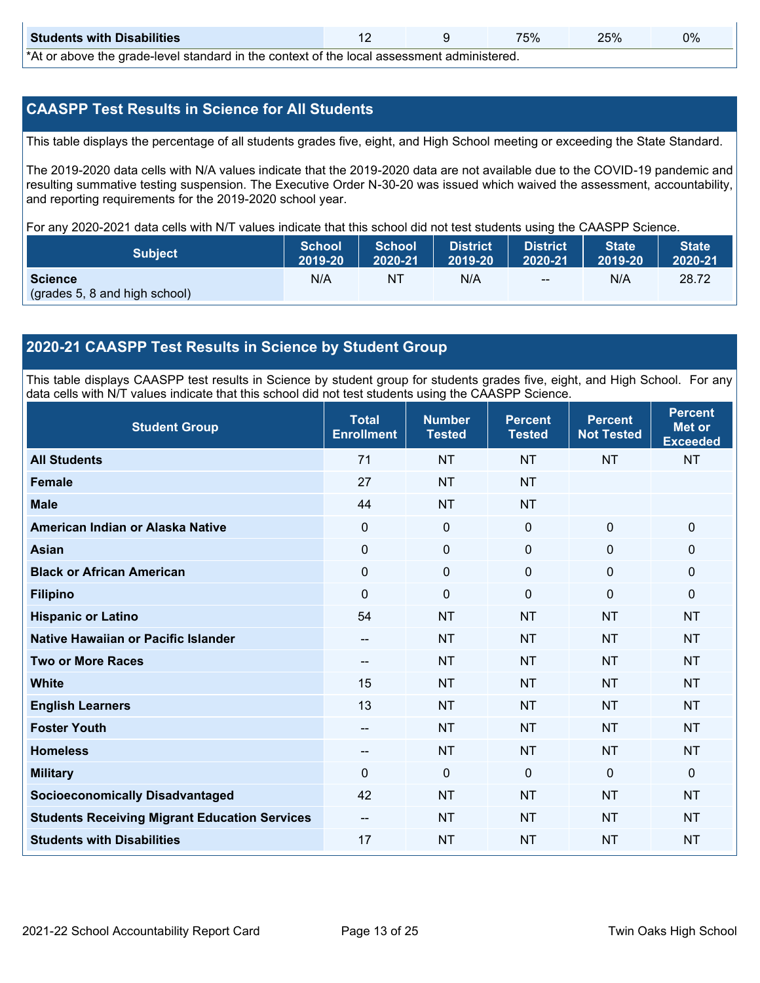| <b>Students with Disabilities</b>                                                                                                                                                                                              |  |  |  |  | 0% |  |  |
|--------------------------------------------------------------------------------------------------------------------------------------------------------------------------------------------------------------------------------|--|--|--|--|----|--|--|
| * A formal constant and some the first of the first term of the context of the first of the conservation term of the first of the first of the first of the first of the first of the first of the first of the first of the f |  |  |  |  |    |  |  |

\*At or above the grade-level standard in the context of the local assessment administered.

### **CAASPP Test Results in Science for All Students**

This table displays the percentage of all students grades five, eight, and High School meeting or exceeding the State Standard.

The 2019-2020 data cells with N/A values indicate that the 2019-2020 data are not available due to the COVID-19 pandemic and resulting summative testing suspension. The Executive Order N-30-20 was issued which waived the assessment, accountability, and reporting requirements for the 2019-2020 school year.

For any 2020-2021 data cells with N/T values indicate that this school did not test students using the CAASPP Science.

| 2019-20<br>2020-21 | 2019-20 | 2020-21 |
|--------------------|---------|---------|
| N/A<br>$-$         | N/A     | 28.72   |
|                    |         |         |

### **2020-21 CAASPP Test Results in Science by Student Group**

This table displays CAASPP test results in Science by student group for students grades five, eight, and High School. For any data cells with N/T values indicate that this school did not test students using the CAASPP Science.

| <b>Student Group</b>                                 | <b>Total</b><br><b>Enrollment</b> | <b>Number</b><br><b>Tested</b> | <b>Percent</b><br><b>Tested</b> | <b>Percent</b><br><b>Not Tested</b> | <b>Percent</b><br><b>Met or</b><br><b>Exceeded</b> |
|------------------------------------------------------|-----------------------------------|--------------------------------|---------------------------------|-------------------------------------|----------------------------------------------------|
| <b>All Students</b>                                  | 71                                | <b>NT</b>                      | <b>NT</b>                       | <b>NT</b>                           | <b>NT</b>                                          |
| <b>Female</b>                                        | 27                                | <b>NT</b>                      | <b>NT</b>                       |                                     |                                                    |
| <b>Male</b>                                          | 44                                | <b>NT</b>                      | <b>NT</b>                       |                                     |                                                    |
| American Indian or Alaska Native                     | 0                                 | $\mathbf 0$                    | $\mathbf 0$                     | $\mathbf 0$                         | $\mathbf 0$                                        |
| <b>Asian</b>                                         | $\mathbf 0$                       | $\pmb{0}$                      | $\mathbf 0$                     | $\mathbf 0$                         | $\mathbf 0$                                        |
| <b>Black or African American</b>                     | 0                                 | $\pmb{0}$                      | $\mathbf 0$                     | 0                                   | $\mathbf 0$                                        |
| <b>Filipino</b>                                      | $\Omega$                          | 0                              | $\Omega$                        | $\Omega$                            | $\mathbf 0$                                        |
| <b>Hispanic or Latino</b>                            | 54                                | <b>NT</b>                      | <b>NT</b>                       | <b>NT</b>                           | <b>NT</b>                                          |
| Native Hawaiian or Pacific Islander                  | --                                | <b>NT</b>                      | <b>NT</b>                       | <b>NT</b>                           | <b>NT</b>                                          |
| <b>Two or More Races</b>                             | --                                | <b>NT</b>                      | <b>NT</b>                       | <b>NT</b>                           | <b>NT</b>                                          |
| <b>White</b>                                         | 15                                | <b>NT</b>                      | <b>NT</b>                       | <b>NT</b>                           | <b>NT</b>                                          |
| <b>English Learners</b>                              | 13                                | <b>NT</b>                      | <b>NT</b>                       | <b>NT</b>                           | <b>NT</b>                                          |
| <b>Foster Youth</b>                                  | --                                | <b>NT</b>                      | <b>NT</b>                       | <b>NT</b>                           | <b>NT</b>                                          |
| <b>Homeless</b>                                      | --                                | <b>NT</b>                      | <b>NT</b>                       | <b>NT</b>                           | <b>NT</b>                                          |
| <b>Military</b>                                      | $\Omega$                          | 0                              | $\mathbf 0$                     | $\mathbf 0$                         | $\mathbf 0$                                        |
| <b>Socioeconomically Disadvantaged</b>               | 42                                | <b>NT</b>                      | <b>NT</b>                       | <b>NT</b>                           | <b>NT</b>                                          |
| <b>Students Receiving Migrant Education Services</b> | --                                | <b>NT</b>                      | <b>NT</b>                       | <b>NT</b>                           | <b>NT</b>                                          |
| <b>Students with Disabilities</b>                    | 17                                | <b>NT</b>                      | <b>NT</b>                       | <b>NT</b>                           | <b>NT</b>                                          |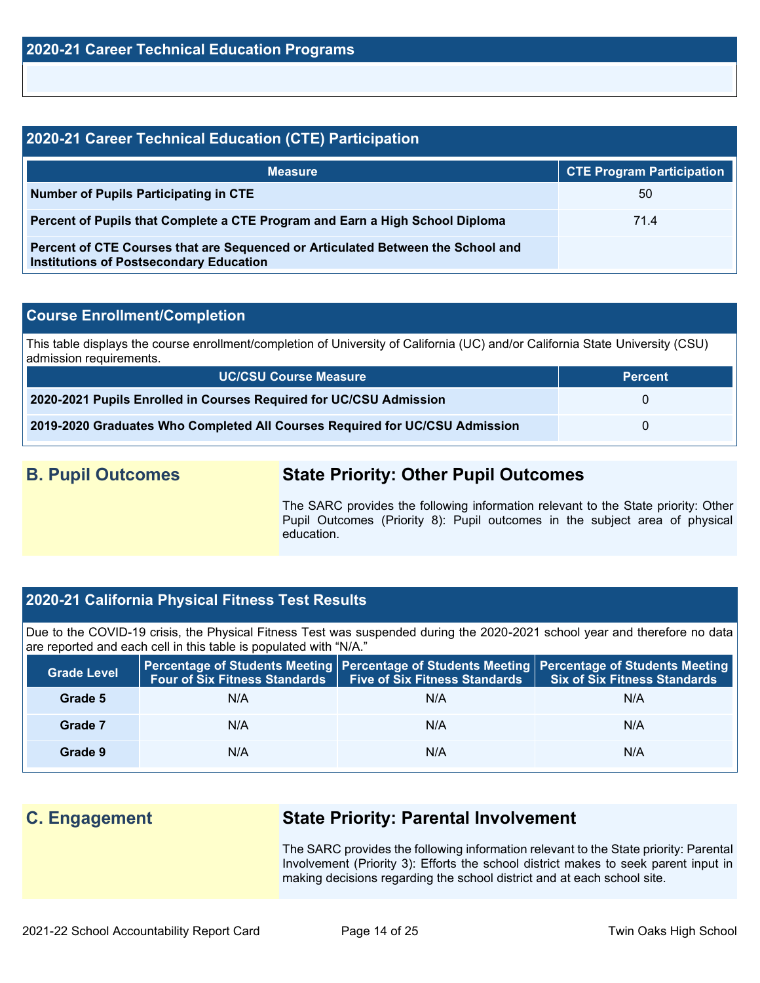| 2020-21 Career Technical Education (CTE) Participation                                                                            |                                  |  |  |  |  |
|-----------------------------------------------------------------------------------------------------------------------------------|----------------------------------|--|--|--|--|
| <b>Measure</b>                                                                                                                    | <b>CTE Program Participation</b> |  |  |  |  |
| Number of Pupils Participating in CTE                                                                                             | 50                               |  |  |  |  |
| Percent of Pupils that Complete a CTE Program and Earn a High School Diploma                                                      | 71.4                             |  |  |  |  |
| Percent of CTE Courses that are Sequenced or Articulated Between the School and<br><b>Institutions of Postsecondary Education</b> |                                  |  |  |  |  |

### **Course Enrollment/Completion**

This table displays the course enrollment/completion of University of California (UC) and/or California State University (CSU) admission requirements.

| <b>UC/CSU Course Measure</b>                                                | <b>Percent</b> |
|-----------------------------------------------------------------------------|----------------|
| 2020-2021 Pupils Enrolled in Courses Required for UC/CSU Admission          |                |
| 2019-2020 Graduates Who Completed All Courses Required for UC/CSU Admission |                |

## **B. Pupil Outcomes State Priority: Other Pupil Outcomes**

The SARC provides the following information relevant to the State priority: Other Pupil Outcomes (Priority 8): Pupil outcomes in the subject area of physical education.

### **2020-21 California Physical Fitness Test Results**

Due to the COVID-19 crisis, the Physical Fitness Test was suspended during the 2020-2021 school year and therefore no data are reported and each cell in this table is populated with "N/A."

| <b>Grade Level</b> | <b>Four of Six Fitness Standards</b> | <b>Five of Six Fitness Standards</b> | Percentage of Students Meeting   Percentage of Students Meeting   Percentage of Students Meeting<br><b>Six of Six Fitness Standards</b> |
|--------------------|--------------------------------------|--------------------------------------|-----------------------------------------------------------------------------------------------------------------------------------------|
| Grade 5            | N/A                                  | N/A                                  | N/A                                                                                                                                     |
| Grade 7            | N/A                                  | N/A                                  | N/A                                                                                                                                     |
| Grade 9            | N/A                                  | N/A                                  | N/A                                                                                                                                     |

## **C. Engagement State Priority: Parental Involvement**

The SARC provides the following information relevant to the State priority: Parental Involvement (Priority 3): Efforts the school district makes to seek parent input in making decisions regarding the school district and at each school site.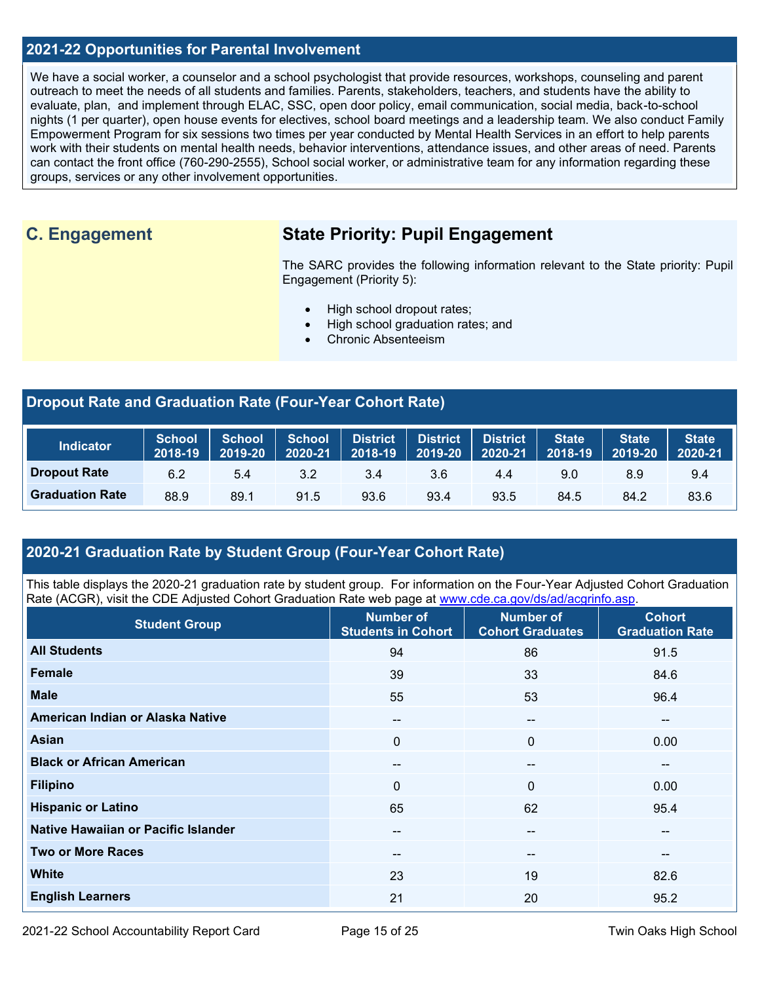### **2021-22 Opportunities for Parental Involvement**

We have a social worker, a counselor and a school psychologist that provide resources, workshops, counseling and parent outreach to meet the needs of all students and families. Parents, stakeholders, teachers, and students have the ability to evaluate, plan, and implement through ELAC, SSC, open door policy, email communication, social media, back-to-school nights (1 per quarter), open house events for electives, school board meetings and a leadership team. We also conduct Family Empowerment Program for six sessions two times per year conducted by Mental Health Services in an effort to help parents work with their students on mental health needs, behavior interventions, attendance issues, and other areas of need. Parents can contact the front office (760-290-2555), School social worker, or administrative team for any information regarding these groups, services or any other involvement opportunities.

## **C. Engagement State Priority: Pupil Engagement**

The SARC provides the following information relevant to the State priority: Pupil Engagement (Priority 5):

- High school dropout rates;
- High school graduation rates; and
- Chronic Absenteeism

### **Dropout Rate and Graduation Rate (Four-Year Cohort Rate)**

| <b>Indicator</b>       | <b>School</b><br>2018-19 | <b>School</b><br>2019-20 | <b>School</b><br>2020-21 | <b>District</b><br>2018-19 | <b>District</b><br>2019-20 | <b>District</b><br>2020-21 | State<br>2018-19 | <b>State</b><br>2019-20 | <b>State</b><br>2020-21 |
|------------------------|--------------------------|--------------------------|--------------------------|----------------------------|----------------------------|----------------------------|------------------|-------------------------|-------------------------|
| <b>Dropout Rate</b>    | 6.2                      | 5.4                      | 3.2                      | 3.4                        | 3.6                        | 4.4                        | 9.0              | 8.9                     | 9.4                     |
| <b>Graduation Rate</b> | 88.9                     | 89.1                     | 91.5                     | 93.6                       | 93.4                       | 93.5                       | 84.5             | 84.2                    | 83.6                    |

### **2020-21 Graduation Rate by Student Group (Four-Year Cohort Rate)**

This table displays the 2020-21 graduation rate by student group. For information on the Four-Year Adjusted Cohort Graduation Rate (ACGR), visit the CDE Adjusted Cohort Graduation Rate web page at [www.cde.ca.gov/ds/ad/acgrinfo.asp.](http://www.cde.ca.gov/ds/ad/acgrinfo.asp)

| <b>Student Group</b>                | <b>Number of</b><br><b>Students in Cohort</b> | <b>Number of</b><br><b>Cohort Graduates</b> | <b>Cohort</b><br><b>Graduation Rate</b> |
|-------------------------------------|-----------------------------------------------|---------------------------------------------|-----------------------------------------|
| <b>All Students</b>                 | 94                                            | 86                                          | 91.5                                    |
| Female                              | 39                                            | 33                                          | 84.6                                    |
| <b>Male</b>                         | 55                                            | 53                                          | 96.4                                    |
| American Indian or Alaska Native    | $- -$                                         | $- -$                                       | $\overline{\phantom{a}}$                |
| Asian                               | $\Omega$                                      | $\Omega$                                    | 0.00                                    |
| <b>Black or African American</b>    | $- -$                                         | --                                          | --                                      |
| <b>Filipino</b>                     | $\mathbf 0$                                   | $\Omega$                                    | 0.00                                    |
| <b>Hispanic or Latino</b>           | 65                                            | 62                                          | 95.4                                    |
| Native Hawaiian or Pacific Islander | $- -$                                         | --                                          | $\overline{\phantom{a}}$                |
| <b>Two or More Races</b>            | $\overline{\phantom{m}}$                      | --                                          | $\overline{\phantom{a}}$                |
| <b>White</b>                        | 23                                            | 19                                          | 82.6                                    |
| <b>English Learners</b>             | 21                                            | 20                                          | 95.2                                    |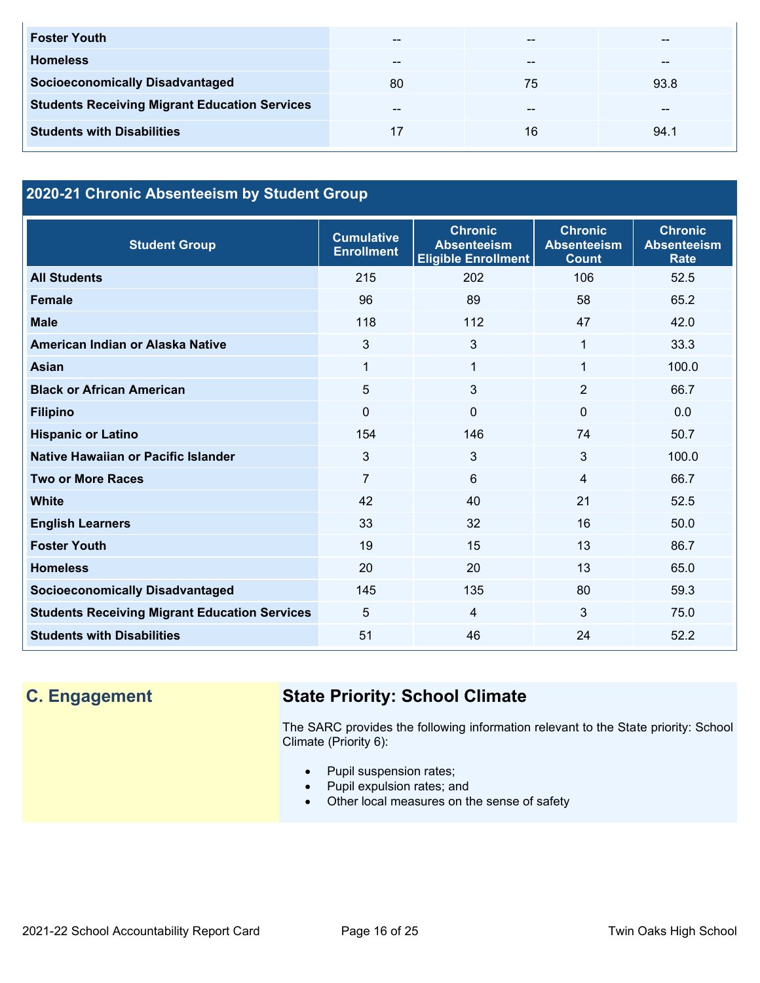| <b>Foster Youth</b>                                  | $- -$ | $- -$ | --   |
|------------------------------------------------------|-------|-------|------|
| <b>Homeless</b>                                      | $- -$ | --    | --   |
| <b>Socioeconomically Disadvantaged</b>               | 80    | 75    | 93.8 |
| <b>Students Receiving Migrant Education Services</b> | $- -$ | $- -$ | --   |
| <b>Students with Disabilities</b>                    |       | 16    | 94.1 |

## **2020-21 Chronic Absenteeism by Student Group**

| <b>Student Group</b>                                 | <b>Cumulative</b><br><b>Enrollment</b> | <b>Chronic</b><br><b>Absenteeism</b><br><b>Eligible Enrollment</b> | <b>Chronic</b><br><b>Absenteeism</b><br><b>Count</b> | <b>Chronic</b><br><b>Absenteeism</b><br><b>Rate</b> |
|------------------------------------------------------|----------------------------------------|--------------------------------------------------------------------|------------------------------------------------------|-----------------------------------------------------|
| <b>All Students</b>                                  | 215                                    | 202                                                                | 106                                                  | 52.5                                                |
| <b>Female</b>                                        | 96                                     | 89                                                                 | 58                                                   | 65.2                                                |
| <b>Male</b>                                          | 118                                    | 112                                                                | 47                                                   | 42.0                                                |
| American Indian or Alaska Native                     | 3                                      | 3                                                                  | 1                                                    | 33.3                                                |
| <b>Asian</b>                                         | 1                                      | 1                                                                  | 1                                                    | 100.0                                               |
| <b>Black or African American</b>                     | 5                                      | 3                                                                  | $\overline{2}$                                       | 66.7                                                |
| <b>Filipino</b>                                      | 0                                      | $\Omega$                                                           | $\mathbf 0$                                          | 0.0                                                 |
| <b>Hispanic or Latino</b>                            | 154                                    | 146                                                                | 74                                                   | 50.7                                                |
| Native Hawaiian or Pacific Islander                  | 3                                      | 3                                                                  | 3                                                    | 100.0                                               |
| <b>Two or More Races</b>                             | $\overline{7}$                         | 6                                                                  | 4                                                    | 66.7                                                |
| White                                                | 42                                     | 40                                                                 | 21                                                   | 52.5                                                |
| <b>English Learners</b>                              | 33                                     | 32                                                                 | 16                                                   | 50.0                                                |
| <b>Foster Youth</b>                                  | 19                                     | 15                                                                 | 13                                                   | 86.7                                                |
| <b>Homeless</b>                                      | 20                                     | 20                                                                 | 13                                                   | 65.0                                                |
| <b>Socioeconomically Disadvantaged</b>               | 145                                    | 135                                                                | 80                                                   | 59.3                                                |
| <b>Students Receiving Migrant Education Services</b> | 5                                      | 4                                                                  | 3                                                    | 75.0                                                |
| <b>Students with Disabilities</b>                    | 51                                     | 46                                                                 | 24                                                   | 52.2                                                |

## **C. Engagement State Priority: School Climate**

The SARC provides the following information relevant to the State priority: School Climate (Priority 6):

- Pupil suspension rates;
- Pupil expulsion rates; and
- Other local measures on the sense of safety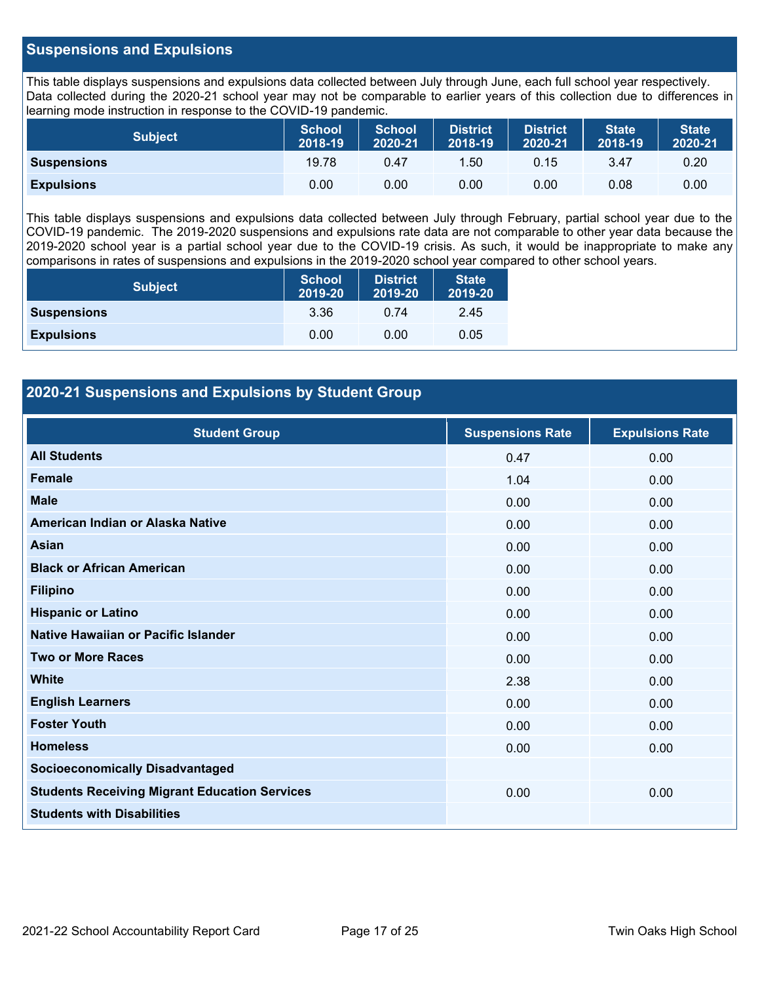### **Suspensions and Expulsions**

This table displays suspensions and expulsions data collected between July through June, each full school year respectively. Data collected during the 2020-21 school year may not be comparable to earlier years of this collection due to differences in learning mode instruction in response to the COVID-19 pandemic.

| <b>Subject</b>     | <b>School</b><br>2018-19 | <b>School</b><br>2020-21 | <b>District</b><br>2018-19 | <b>District</b><br>2020-21 | <b>State</b><br>2018-19 | <b>State</b><br>2020-21 |
|--------------------|--------------------------|--------------------------|----------------------------|----------------------------|-------------------------|-------------------------|
| <b>Suspensions</b> | 19.78                    | 0.47                     | .50                        | 0.15                       | 3.47                    | 0.20                    |
| <b>Expulsions</b>  | 0.00                     | 0.00                     | 0.00                       | 0.00                       | 0.08                    | 0.00                    |

This table displays suspensions and expulsions data collected between July through February, partial school year due to the COVID-19 pandemic. The 2019-2020 suspensions and expulsions rate data are not comparable to other year data because the 2019-2020 school year is a partial school year due to the COVID-19 crisis. As such, it would be inappropriate to make any comparisons in rates of suspensions and expulsions in the 2019-2020 school year compared to other school years.

| <b>Subject</b>     | School<br>2019-20 | <b>District</b><br>2019-20 | <b>State</b><br>2019-20 |
|--------------------|-------------------|----------------------------|-------------------------|
| <b>Suspensions</b> | 3.36              | 0.74                       | 2.45                    |
| <b>Expulsions</b>  | 0.00              | 0.00                       | 0.05                    |

### **2020-21 Suspensions and Expulsions by Student Group**

| <b>Student Group</b>                                 | <b>Suspensions Rate</b> | <b>Expulsions Rate</b> |
|------------------------------------------------------|-------------------------|------------------------|
| <b>All Students</b>                                  | 0.47                    | 0.00                   |
| <b>Female</b>                                        | 1.04                    | 0.00                   |
| <b>Male</b>                                          | 0.00                    | 0.00                   |
| American Indian or Alaska Native                     | 0.00                    | 0.00                   |
| <b>Asian</b>                                         | 0.00                    | 0.00                   |
| <b>Black or African American</b>                     | 0.00                    | 0.00                   |
| <b>Filipino</b>                                      | 0.00                    | 0.00                   |
| <b>Hispanic or Latino</b>                            | 0.00                    | 0.00                   |
| Native Hawaiian or Pacific Islander                  | 0.00                    | 0.00                   |
| <b>Two or More Races</b>                             | 0.00                    | 0.00                   |
| <b>White</b>                                         | 2.38                    | 0.00                   |
| <b>English Learners</b>                              | 0.00                    | 0.00                   |
| <b>Foster Youth</b>                                  | 0.00                    | 0.00                   |
| <b>Homeless</b>                                      | 0.00                    | 0.00                   |
| <b>Socioeconomically Disadvantaged</b>               |                         |                        |
| <b>Students Receiving Migrant Education Services</b> | 0.00                    | 0.00                   |
| <b>Students with Disabilities</b>                    |                         |                        |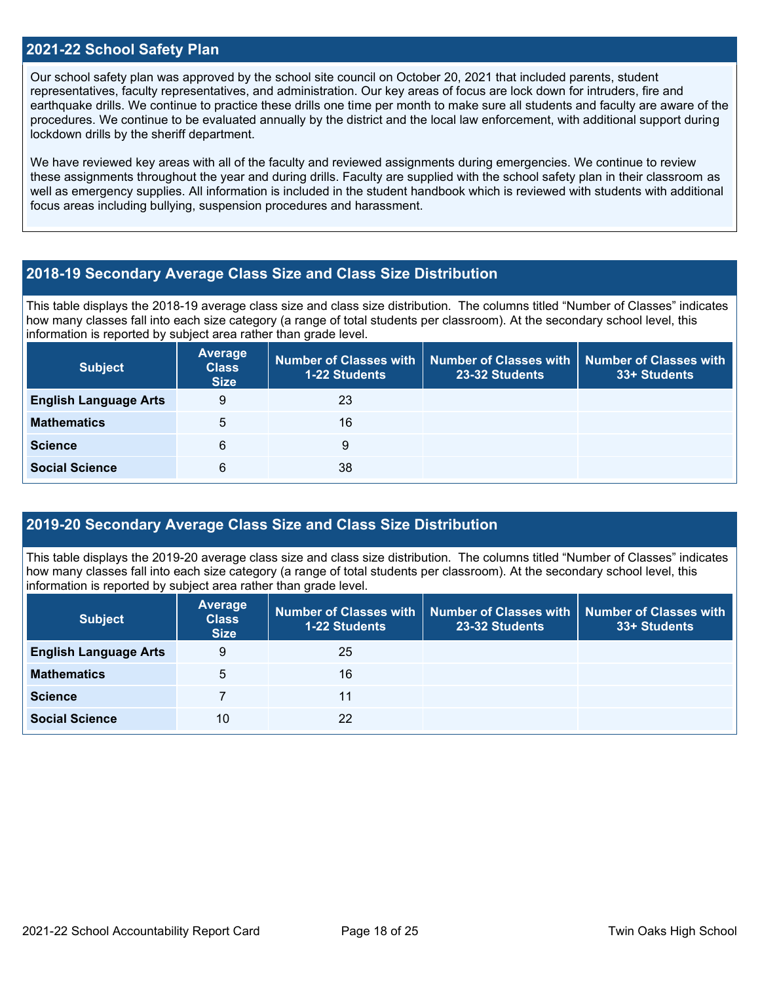### **2021-22 School Safety Plan**

Our school safety plan was approved by the school site council on October 20, 2021 that included parents, student representatives, faculty representatives, and administration. Our key areas of focus are lock down for intruders, fire and earthquake drills. We continue to practice these drills one time per month to make sure all students and faculty are aware of the procedures. We continue to be evaluated annually by the district and the local law enforcement, with additional support during lockdown drills by the sheriff department.

We have reviewed key areas with all of the faculty and reviewed assignments during emergencies. We continue to review these assignments throughout the year and during drills. Faculty are supplied with the school safety plan in their classroom as well as emergency supplies. All information is included in the student handbook which is reviewed with students with additional focus areas including bullying, suspension procedures and harassment.

### **2018-19 Secondary Average Class Size and Class Size Distribution**

This table displays the 2018-19 average class size and class size distribution. The columns titled "Number of Classes" indicates how many classes fall into each size category (a range of total students per classroom). At the secondary school level, this information is reported by subject area rather than grade level.

| <b>Subject</b>               | <b>Average</b><br><b>Class</b><br><b>Size</b> | <b>1-22 Students</b> | Number of Classes with   Number of Classes with   Number of Classes with<br>23-32 Students | 33+ Students |
|------------------------------|-----------------------------------------------|----------------------|--------------------------------------------------------------------------------------------|--------------|
| <b>English Language Arts</b> | 9                                             | 23                   |                                                                                            |              |
| <b>Mathematics</b>           | 5                                             | 16                   |                                                                                            |              |
| <b>Science</b>               | 6                                             | 9                    |                                                                                            |              |
| <b>Social Science</b>        | 6                                             | 38                   |                                                                                            |              |

### **2019-20 Secondary Average Class Size and Class Size Distribution**

This table displays the 2019-20 average class size and class size distribution. The columns titled "Number of Classes" indicates how many classes fall into each size category (a range of total students per classroom). At the secondary school level, this information is reported by subject area rather than grade level.

| <b>Subject</b>               | Average<br><b>Class</b><br><b>Size</b> | 1-22 Students | Number of Classes with   Number of Classes with  <br>23-32 Students | <b>Number of Classes with</b><br>33+ Students |
|------------------------------|----------------------------------------|---------------|---------------------------------------------------------------------|-----------------------------------------------|
| <b>English Language Arts</b> | 9                                      | 25            |                                                                     |                                               |
| <b>Mathematics</b>           | 5                                      | 16            |                                                                     |                                               |
| <b>Science</b>               |                                        | 11            |                                                                     |                                               |
| <b>Social Science</b>        | 10                                     | 22            |                                                                     |                                               |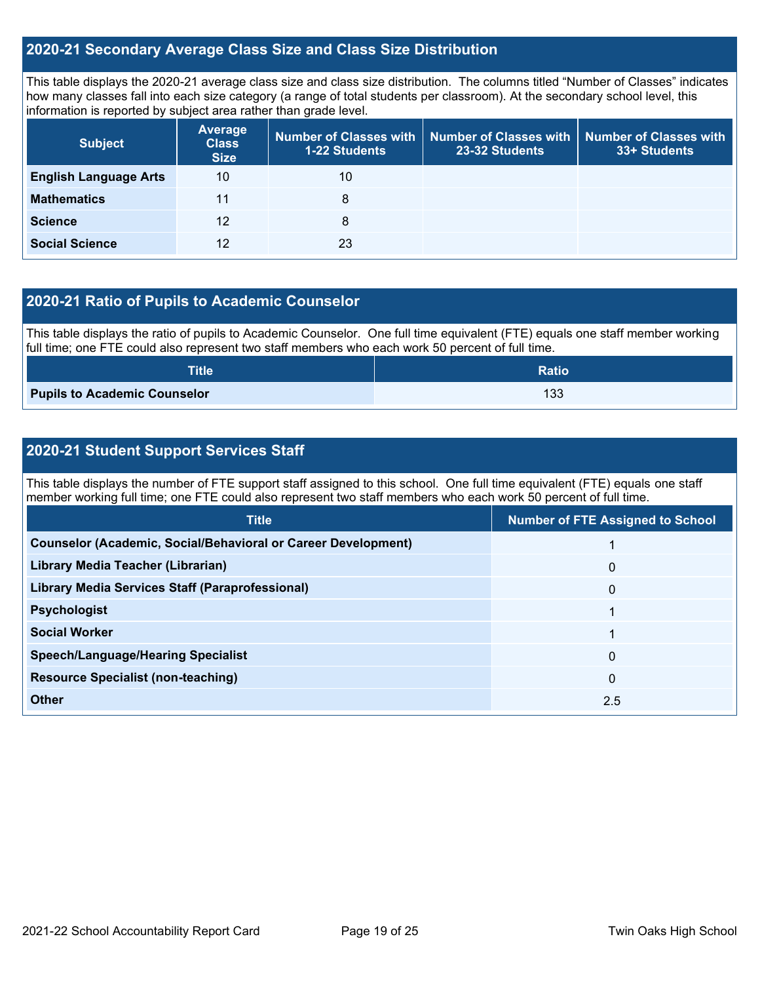### **2020-21 Secondary Average Class Size and Class Size Distribution**

This table displays the 2020-21 average class size and class size distribution. The columns titled "Number of Classes" indicates how many classes fall into each size category (a range of total students per classroom). At the secondary school level, this information is reported by subject area rather than grade level.

| <b>Subject</b>               | <b>Average</b><br><b>Class</b><br><b>Size</b> | 1-22 Students | Number of Classes with   Number of Classes with   Number of Classes with<br>23-32 Students | 33+ Students |
|------------------------------|-----------------------------------------------|---------------|--------------------------------------------------------------------------------------------|--------------|
| <b>English Language Arts</b> | 10                                            | 10            |                                                                                            |              |
| <b>Mathematics</b>           | 11                                            | 8             |                                                                                            |              |
| <b>Science</b>               | 12                                            | 8             |                                                                                            |              |
| <b>Social Science</b>        | 12                                            | 23            |                                                                                            |              |

### **2020-21 Ratio of Pupils to Academic Counselor**

This table displays the ratio of pupils to Academic Counselor. One full time equivalent (FTE) equals one staff member working full time; one FTE could also represent two staff members who each work 50 percent of full time.

| <b>Title</b>                        | <b>Ratio</b> |
|-------------------------------------|--------------|
| <b>Pupils to Academic Counselor</b> | 133          |

### **2020-21 Student Support Services Staff**

This table displays the number of FTE support staff assigned to this school. One full time equivalent (FTE) equals one staff member working full time; one FTE could also represent two staff members who each work 50 percent of full time.

| <b>Title</b>                                                         | <b>Number of FTE Assigned to School</b> |
|----------------------------------------------------------------------|-----------------------------------------|
| <b>Counselor (Academic, Social/Behavioral or Career Development)</b> |                                         |
| Library Media Teacher (Librarian)                                    | $\mathbf{0}$                            |
| <b>Library Media Services Staff (Paraprofessional)</b>               | $\mathbf{0}$                            |
| <b>Psychologist</b>                                                  |                                         |
| <b>Social Worker</b>                                                 |                                         |
| <b>Speech/Language/Hearing Specialist</b>                            | $\mathbf{0}$                            |
| <b>Resource Specialist (non-teaching)</b>                            | $\mathbf{0}$                            |
| <b>Other</b>                                                         | 2.5                                     |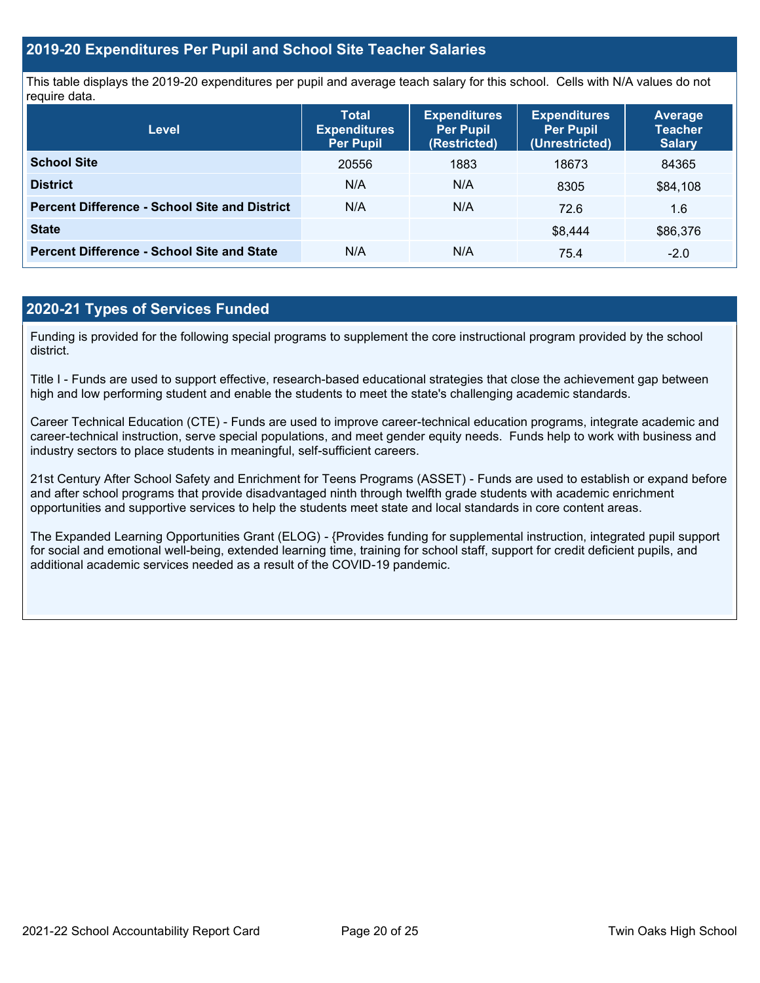### **2019-20 Expenditures Per Pupil and School Site Teacher Salaries**

This table displays the 2019-20 expenditures per pupil and average teach salary for this school. Cells with N/A values do not require data.

| <b>Level</b>                                         | <b>Total</b><br><b>Expenditures</b><br><b>Per Pupil</b> | <b>Expenditures</b><br><b>Per Pupil</b><br>(Restricted) | <b>Expenditures</b><br><b>Per Pupil</b><br>(Unrestricted) | <b>Average</b><br><b>Teacher</b><br><b>Salary</b> |
|------------------------------------------------------|---------------------------------------------------------|---------------------------------------------------------|-----------------------------------------------------------|---------------------------------------------------|
| <b>School Site</b>                                   | 20556                                                   | 1883                                                    | 18673                                                     | 84365                                             |
| <b>District</b>                                      | N/A                                                     | N/A                                                     | 8305                                                      | \$84,108                                          |
| <b>Percent Difference - School Site and District</b> | N/A                                                     | N/A                                                     | 72.6                                                      | 1.6                                               |
| <b>State</b>                                         |                                                         |                                                         | \$8.444                                                   | \$86,376                                          |
| <b>Percent Difference - School Site and State</b>    | N/A                                                     | N/A                                                     | 75.4                                                      | $-2.0$                                            |

### **2020-21 Types of Services Funded**

Funding is provided for the following special programs to supplement the core instructional program provided by the school district.

Title I - Funds are used to support effective, research-based educational strategies that close the achievement gap between high and low performing student and enable the students to meet the state's challenging academic standards.

Career Technical Education (CTE) - Funds are used to improve career-technical education programs, integrate academic and career-technical instruction, serve special populations, and meet gender equity needs. Funds help to work with business and industry sectors to place students in meaningful, self-sufficient careers.

21st Century After School Safety and Enrichment for Teens Programs (ASSET) - Funds are used to establish or expand before and after school programs that provide disadvantaged ninth through twelfth grade students with academic enrichment opportunities and supportive services to help the students meet state and local standards in core content areas.

The Expanded Learning Opportunities Grant (ELOG) - {Provides funding for supplemental instruction, integrated pupil support for social and emotional well-being, extended learning time, training for school staff, support for credit deficient pupils, and additional academic services needed as a result of the COVID-19 pandemic.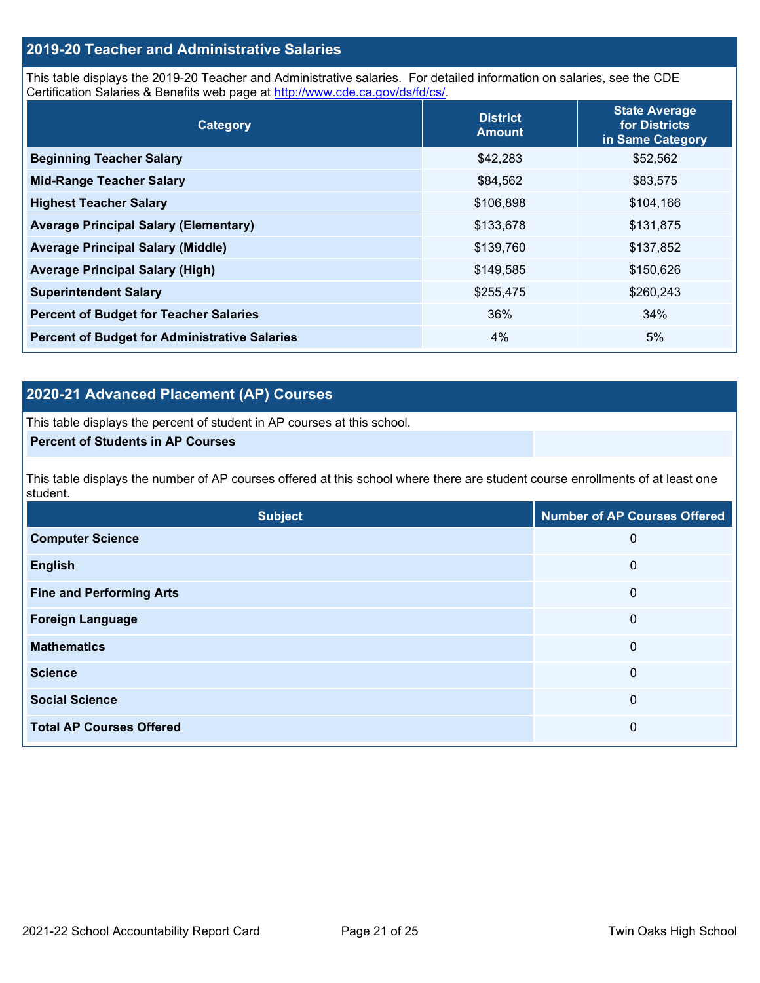### **2019-20 Teacher and Administrative Salaries**

This table displays the 2019-20 Teacher and Administrative salaries. For detailed information on salaries, see the CDE Certification Salaries & Benefits web page at [http://www.cde.ca.gov/ds/fd/cs/.](http://www.cde.ca.gov/ds/fd/cs/)

| Category                                             | <b>District</b><br><b>Amount</b> | <b>State Average</b><br>for Districts<br>in Same Category |
|------------------------------------------------------|----------------------------------|-----------------------------------------------------------|
| <b>Beginning Teacher Salary</b>                      | \$42,283                         | \$52,562                                                  |
| <b>Mid-Range Teacher Salary</b>                      | \$84,562                         | \$83,575                                                  |
| <b>Highest Teacher Salary</b>                        | \$106,898                        | \$104,166                                                 |
| <b>Average Principal Salary (Elementary)</b>         | \$133,678                        | \$131,875                                                 |
| <b>Average Principal Salary (Middle)</b>             | \$139,760                        | \$137,852                                                 |
| <b>Average Principal Salary (High)</b>               | \$149,585                        | \$150,626                                                 |
| <b>Superintendent Salary</b>                         | \$255,475                        | \$260,243                                                 |
| <b>Percent of Budget for Teacher Salaries</b>        | 36%                              | 34%                                                       |
| <b>Percent of Budget for Administrative Salaries</b> | 4%                               | 5%                                                        |

### **2020-21 Advanced Placement (AP) Courses**

This table displays the percent of student in AP courses at this school.

### **Percent of Students in AP Courses**

This table displays the number of AP courses offered at this school where there are student course enrollments of at least one student.

| <b>Subject</b>                  | <b>Number of AP Courses Offered</b> |
|---------------------------------|-------------------------------------|
| <b>Computer Science</b>         | 0                                   |
| <b>English</b>                  | $\mathbf 0$                         |
| <b>Fine and Performing Arts</b> | 0                                   |
| <b>Foreign Language</b>         | $\mathbf 0$                         |
| <b>Mathematics</b>              | $\mathbf 0$                         |
| <b>Science</b>                  | $\boldsymbol{0}$                    |
| <b>Social Science</b>           | 0                                   |
| <b>Total AP Courses Offered</b> | 0                                   |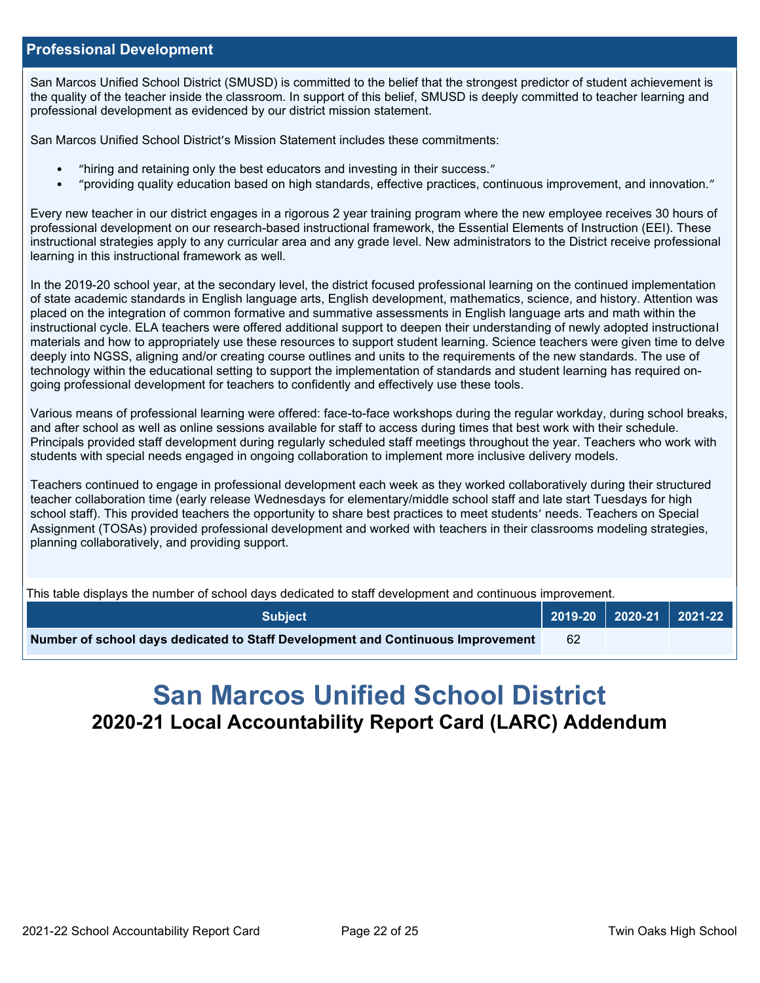### **Professional Development**

San Marcos Unified School District (SMUSD) is committed to the belief that the strongest predictor of student achievement is the quality of the teacher inside the classroom. In support of this belief, SMUSD is deeply committed to teacher learning and professional development as evidenced by our district mission statement.

San Marcos Unified School District's Mission Statement includes these commitments:

- "hiring and retaining only the best educators and investing in their success."
- "providing quality education based on high standards, effective practices, continuous improvement, and innovation."

Every new teacher in our district engages in a rigorous 2 year training program where the new employee receives 30 hours of professional development on our research-based instructional framework, the Essential Elements of Instruction (EEI). These instructional strategies apply to any curricular area and any grade level. New administrators to the District receive professional learning in this instructional framework as well.

In the 2019-20 school year, at the secondary level, the district focused professional learning on the continued implementation of state academic standards in English language arts, English development, mathematics, science, and history. Attention was placed on the integration of common formative and summative assessments in English language arts and math within the instructional cycle. ELA teachers were offered additional support to deepen their understanding of newly adopted instructional materials and how to appropriately use these resources to support student learning. Science teachers were given time to delve deeply into NGSS, aligning and/or creating course outlines and units to the requirements of the new standards. The use of technology within the educational setting to support the implementation of standards and student learning has required ongoing professional development for teachers to confidently and effectively use these tools.

Various means of professional learning were offered: face-to-face workshops during the regular workday, during school breaks, and after school as well as online sessions available for staff to access during times that best work with their schedule. Principals provided staff development during regularly scheduled staff meetings throughout the year. Teachers who work with students with special needs engaged in ongoing collaboration to implement more inclusive delivery models.

Teachers continued to engage in professional development each week as they worked collaboratively during their structured teacher collaboration time (early release Wednesdays for elementary/middle school staff and late start Tuesdays for high school staff). This provided teachers the opportunity to share best practices to meet students' needs. Teachers on Special Assignment (TOSAs) provided professional development and worked with teachers in their classrooms modeling strategies, planning collaboratively, and providing support.

This table displays the number of school days dedicated to staff development and continuous improvement.

| <b>Subiect</b>                                                                  |    |  |  |
|---------------------------------------------------------------------------------|----|--|--|
| Number of school days dedicated to Staff Development and Continuous Improvement | 62 |  |  |

# **San Marcos Unified School District 2020-21 Local Accountability Report Card (LARC) Addendum**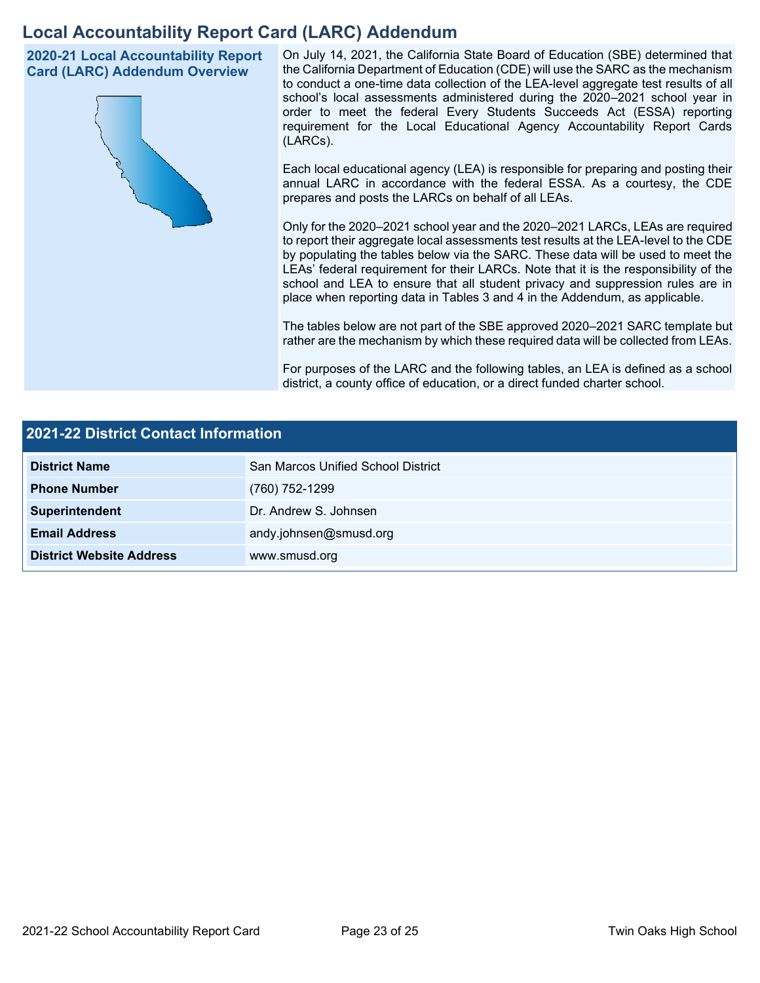## **Local Accountability Report Card (LARC) Addendum**

**2020-21 Local Accountability Report Card (LARC) Addendum Overview**



On July 14, 2021, the California State Board of Education (SBE) determined that the California Department of Education (CDE) will use the SARC as the mechanism to conduct a one-time data collection of the LEA-level aggregate test results of all school's local assessments administered during the 2020–2021 school year in order to meet the federal Every Students Succeeds Act (ESSA) reporting requirement for the Local Educational Agency Accountability Report Cards (LARCs).

Each local educational agency (LEA) is responsible for preparing and posting their annual LARC in accordance with the federal ESSA. As a courtesy, the CDE prepares and posts the LARCs on behalf of all LEAs.

Only for the 2020–2021 school year and the 2020–2021 LARCs, LEAs are required to report their aggregate local assessments test results at the LEA-level to the CDE by populating the tables below via the SARC. These data will be used to meet the LEAs' federal requirement for their LARCs. Note that it is the responsibility of the school and LEA to ensure that all student privacy and suppression rules are in place when reporting data in Tables 3 and 4 in the Addendum, as applicable.

The tables below are not part of the SBE approved 2020–2021 SARC template but rather are the mechanism by which these required data will be collected from LEAs.

For purposes of the LARC and the following tables, an LEA is defined as a school district, a county office of education, or a direct funded charter school.

| 2021-22 District Contact Information |                                    |  |  |
|--------------------------------------|------------------------------------|--|--|
| <b>District Name</b>                 | San Marcos Unified School District |  |  |
| <b>Phone Number</b>                  | (760) 752-1299                     |  |  |
| Superintendent                       | Dr. Andrew S. Johnsen              |  |  |
| <b>Email Address</b>                 | andy.johnsen@smusd.org             |  |  |
| <b>District Website Address</b>      | www.smusd.org                      |  |  |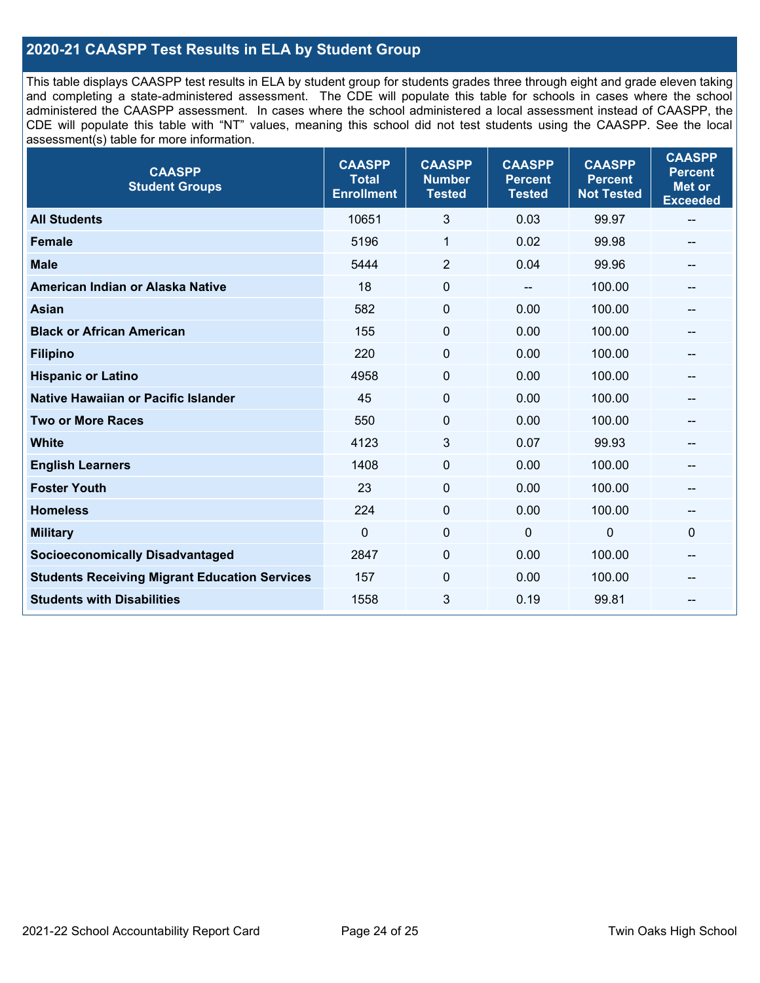### **2020-21 CAASPP Test Results in ELA by Student Group**

This table displays CAASPP test results in ELA by student group for students grades three through eight and grade eleven taking and completing a state-administered assessment. The CDE will populate this table for schools in cases where the school administered the CAASPP assessment. In cases where the school administered a local assessment instead of CAASPP, the CDE will populate this table with "NT" values, meaning this school did not test students using the CAASPP. See the local assessment(s) table for more information.

| <b>CAASPP</b><br><b>Student Groups</b>               | <b>CAASPP</b><br><b>Total</b><br><b>Enrollment</b> | <b>CAASPP</b><br><b>Number</b><br><b>Tested</b> | <b>CAASPP</b><br><b>Percent</b><br><b>Tested</b> | <b>CAASPP</b><br><b>Percent</b><br><b>Not Tested</b> | <b>CAASPP</b><br><b>Percent</b><br><b>Met or</b><br><b>Exceeded</b> |
|------------------------------------------------------|----------------------------------------------------|-------------------------------------------------|--------------------------------------------------|------------------------------------------------------|---------------------------------------------------------------------|
| <b>All Students</b>                                  | 10651                                              | 3                                               | 0.03                                             | 99.97                                                | $\sim$                                                              |
| <b>Female</b>                                        | 5196                                               | $\mathbf{1}$                                    | 0.02                                             | 99.98                                                |                                                                     |
| <b>Male</b>                                          | 5444                                               | $\overline{2}$                                  | 0.04                                             | 99.96                                                | --                                                                  |
| American Indian or Alaska Native                     | 18                                                 | 0                                               | $\sim$ $\sim$                                    | 100.00                                               | --                                                                  |
| <b>Asian</b>                                         | 582                                                | 0                                               | 0.00                                             | 100.00                                               |                                                                     |
| <b>Black or African American</b>                     | 155                                                | 0                                               | 0.00                                             | 100.00                                               | $\hspace{0.05cm}$ – $\hspace{0.05cm}$                               |
| <b>Filipino</b>                                      | 220                                                | $\mathbf 0$                                     | 0.00                                             | 100.00                                               |                                                                     |
| <b>Hispanic or Latino</b>                            | 4958                                               | $\mathbf 0$                                     | 0.00                                             | 100.00                                               | --                                                                  |
| Native Hawaiian or Pacific Islander                  | 45                                                 | 0                                               | 0.00                                             | 100.00                                               | --                                                                  |
| <b>Two or More Races</b>                             | 550                                                | 0                                               | 0.00                                             | 100.00                                               |                                                                     |
| <b>White</b>                                         | 4123                                               | 3                                               | 0.07                                             | 99.93                                                | --                                                                  |
| <b>English Learners</b>                              | 1408                                               | $\pmb{0}$                                       | 0.00                                             | 100.00                                               |                                                                     |
| <b>Foster Youth</b>                                  | 23                                                 | 0                                               | 0.00                                             | 100.00                                               |                                                                     |
| <b>Homeless</b>                                      | 224                                                | 0                                               | 0.00                                             | 100.00                                               | $\hspace{0.05cm}$                                                   |
| <b>Military</b>                                      | $\mathbf 0$                                        | $\pmb{0}$                                       | $\mathbf 0$                                      | $\mathbf 0$                                          | 0                                                                   |
| <b>Socioeconomically Disadvantaged</b>               | 2847                                               | 0                                               | 0.00                                             | 100.00                                               | --                                                                  |
| <b>Students Receiving Migrant Education Services</b> | 157                                                | 0                                               | 0.00                                             | 100.00                                               |                                                                     |
| <b>Students with Disabilities</b>                    | 1558                                               | 3                                               | 0.19                                             | 99.81                                                |                                                                     |